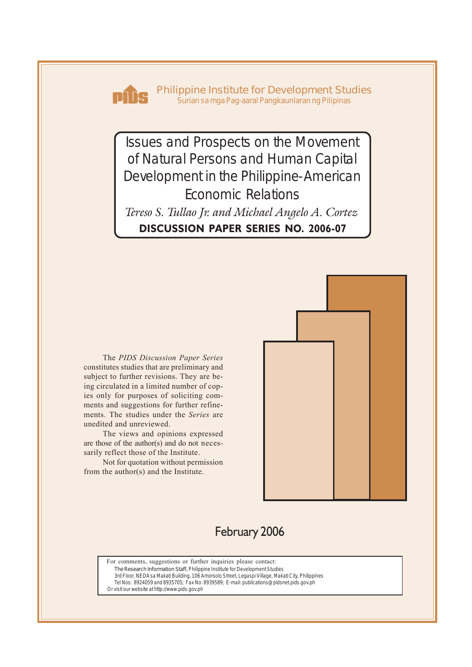

**Philippine Institute for Development Studies** *Surian sa mga Pag-aaral Pangkaunlaran ng Pilipinas*

*Tereso S. Tullao Jr. and Michael Angelo A. Cortez* Issues and Prospects on the Movement of Natural Persons and Human Capital Development in the Philippine-American Economic Relations **DISCUSSION PAPER SERIES NO. 2006-07**

The *PIDS Discussion Paper Series* constitutes studies that are preliminary and subject to further revisions. They are being circulated in a limited number of copies only for purposes of soliciting comments and suggestions for further refinements. The studies under the *Series* are unedited and unreviewed.

The views and opinions expressed are those of the author(s) and do not necessarily reflect those of the Institute.

Not for quotation without permission from the author(s) and the Institute.



# February 2006

For comments, suggestions or further inquiries please contact: **The Research Information Staff,** Philippine Institute for Development Studies 3rd Floor, NEDA sa Makati Building, 106 Amorsolo Street, Legaspi Village, Makati City, Philippines Tel Nos: 8924059 and 8935705; Fax No: 8939589; E-mail: publications@pidsnet.pids.gov.ph

Or visit our website at http://www.pids.gov.ph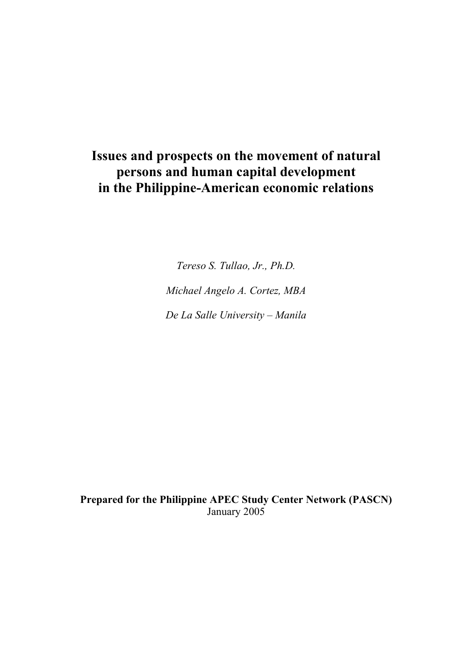# **Issues and prospects on the movement of natural persons and human capital development in the Philippine-American economic relations**

*Tereso S. Tullao, Jr., Ph.D. Michael Angelo A. Cortez, MBA De La Salle University – Manila* 

**Prepared for the Philippine APEC Study Center Network (PASCN)**  January 2005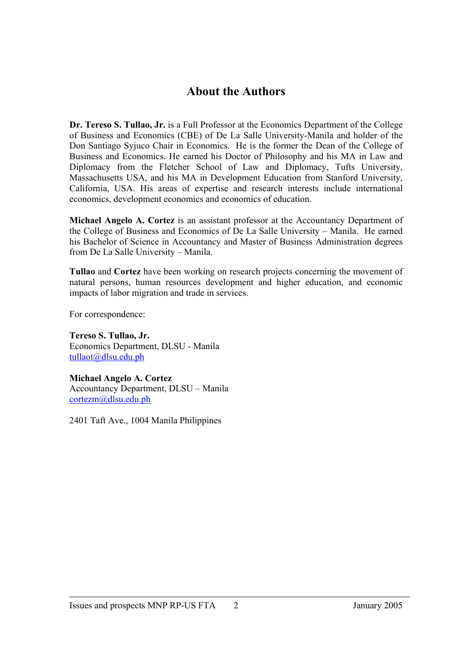# **About the Authors**

**Dr. Tereso S. Tullao, Jr.** is a Full Professor at the Economics Department of the College of Business and Economics (CBE) of De La Salle University-Manila and holder of the Don Santiago Syjuco Chair in Economics. He is the former the Dean of the College of Business and Economics. He earned his Doctor of Philosophy and his MA in Law and Diplomacy from the Fletcher School of Law and Diplomacy, Tufts University, Massachusetts USA, and his MA in Development Education from Stanford University, California, USA. His areas of expertise and research interests include international economics, development economics and economics of education.

**Michael Angelo A. Cortez** is an assistant professor at the Accountancy Department of the College of Business and Economics of De La Salle University – Manila. He earned his Bachelor of Science in Accountancy and Master of Business Administration degrees from De La Salle University – Manila.

**Tullao** and **Cortez** have been working on research projects concerning the movement of natural persons, human resources development and higher education, and economic impacts of labor migration and trade in services.

For correspondence:

**Tereso S. Tullao, Jr.**  Economics Department, DLSU - Manila tullaot@dlsu.edu.ph

**Michael Angelo A. Cortez**  Accountancy Department, DLSU – Manila cortezm@dlsu.edu.ph

2401 Taft Ave., 1004 Manila Philippines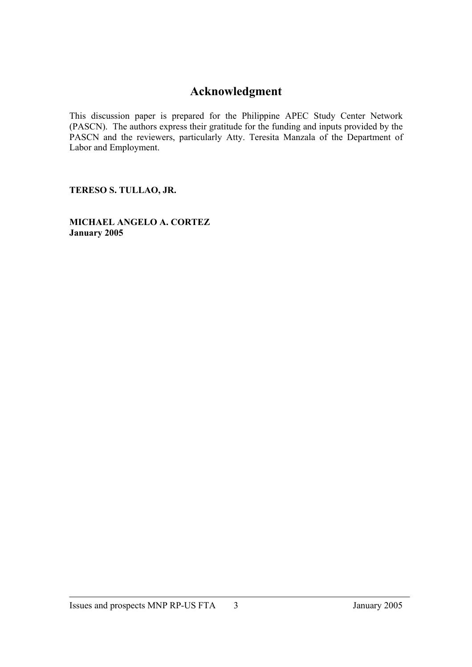# **Acknowledgment**

This discussion paper is prepared for the Philippine APEC Study Center Network (PASCN). The authors express their gratitude for the funding and inputs provided by the PASCN and the reviewers, particularly Atty. Teresita Manzala of the Department of Labor and Employment.

**TERESO S. TULLAO, JR.** 

**MICHAEL ANGELO A. CORTEZ January 2005**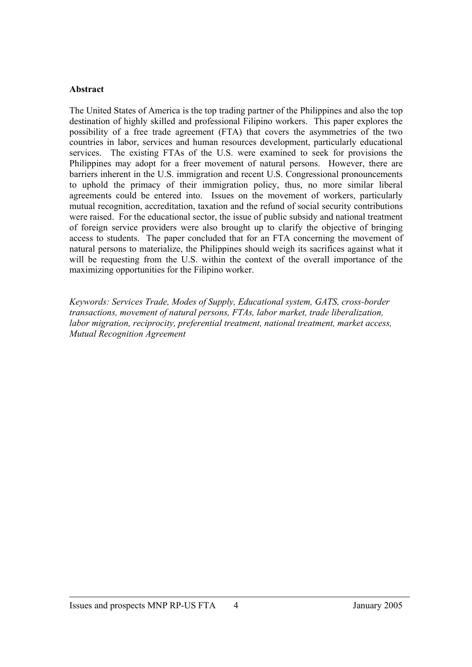## **Abstract**

The United States of America is the top trading partner of the Philippines and also the top destination of highly skilled and professional Filipino workers. This paper explores the possibility of a free trade agreement (FTA) that covers the asymmetries of the two countries in labor, services and human resources development, particularly educational services. The existing FTAs of the U.S. were examined to seek for provisions the Philippines may adopt for a freer movement of natural persons. However, there are barriers inherent in the U.S. immigration and recent U.S. Congressional pronouncements to uphold the primacy of their immigration policy, thus, no more similar liberal agreements could be entered into. Issues on the movement of workers, particularly mutual recognition, accreditation, taxation and the refund of social security contributions were raised. For the educational sector, the issue of public subsidy and national treatment of foreign service providers were also brought up to clarify the objective of bringing access to students. The paper concluded that for an FTA concerning the movement of natural persons to materialize, the Philippines should weigh its sacrifices against what it will be requesting from the U.S. within the context of the overall importance of the maximizing opportunities for the Filipino worker.

*Keywords: Services Trade, Modes of Supply, Educational system, GATS, cross-border transactions, movement of natural persons, FTAs, labor market, trade liberalization, labor migration, reciprocity, preferential treatment, national treatment, market access, Mutual Recognition Agreement*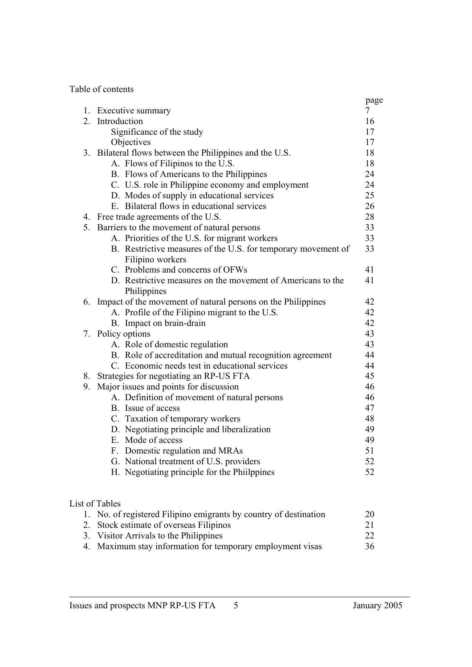Table of contents

|    | 1. Executive summary                                                              | page<br>$\overline{7}$ |
|----|-----------------------------------------------------------------------------------|------------------------|
|    | 2. Introduction                                                                   | 16                     |
|    | Significance of the study                                                         | 17                     |
|    | Objectives                                                                        | 17                     |
|    | 3. Bilateral flows between the Philippines and the U.S.                           | 18                     |
|    | A. Flows of Filipinos to the U.S.                                                 | 18                     |
|    | B. Flows of Americans to the Philippines                                          | 24                     |
|    | C. U.S. role in Philippine economy and employment                                 | 24                     |
|    | D. Modes of supply in educational services                                        | 25                     |
|    | E. Bilateral flows in educational services                                        | 26                     |
|    | 4. Free trade agreements of the U.S.                                              | 28                     |
|    | 5. Barriers to the movement of natural persons                                    | 33                     |
|    | A. Priorities of the U.S. for migrant workers                                     | 33                     |
|    | B. Restrictive measures of the U.S. for temporary movement of<br>Filipino workers | 33                     |
|    | C. Problems and concerns of OFWs                                                  | 41                     |
|    | D. Restrictive measures on the movement of Americans to the<br>Philippines        | 41                     |
|    | 6. Impact of the movement of natural persons on the Philippines                   | 42                     |
|    | A. Profile of the Filipino migrant to the U.S.                                    | 42                     |
|    | B. Impact on brain-drain                                                          | 42                     |
|    | 7. Policy options                                                                 | 43                     |
|    | A. Role of domestic regulation                                                    | 43                     |
|    | B. Role of accreditation and mutual recognition agreement                         | 44                     |
|    | C. Economic needs test in educational services                                    | 44                     |
| 8. | Strategies for negotiating an RP-US FTA                                           | 45                     |
| 9. | Major issues and points for discussion                                            | 46                     |
|    | A. Definition of movement of natural persons                                      | 46                     |
|    | B. Issue of access                                                                | 47                     |
|    | C. Taxation of temporary workers                                                  | 48                     |
|    | D. Negotiating principle and liberalization                                       | 49                     |
|    | E. Mode of access                                                                 | 49                     |
|    | F. Domestic regulation and MRAs                                                   | 51                     |
|    | G. National treatment of U.S. providers                                           | 52                     |
|    | H. Negotiating principle for the Philppines                                       | 52                     |

List of Tables

| 1. No. of registered Filipino emigrants by country of destination | 20 |
|-------------------------------------------------------------------|----|
| 2. Stock estimate of overseas Filipinos                           | 21 |
| 3. Visitor Arrivals to the Philippines                            | 22 |
| 4. Maximum stay information for temporary employment visas        | 36 |
|                                                                   |    |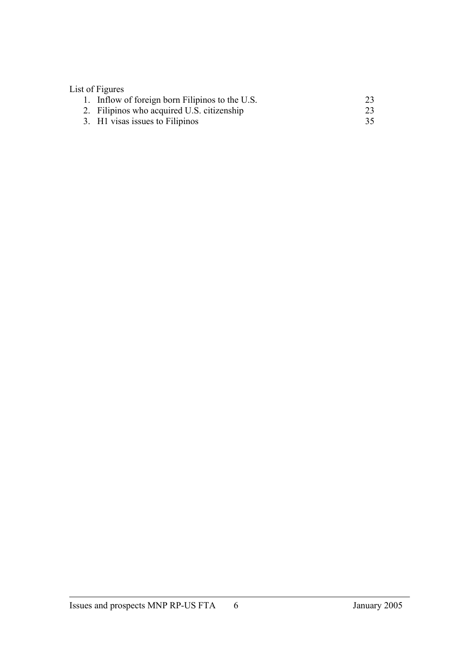# List of Figures

| 1. Inflow of foreign born Filipinos to the U.S. |  |
|-------------------------------------------------|--|
| 2. Filipinos who acquired U.S. citizenship      |  |

3. H1 visas issues to Filipinos

35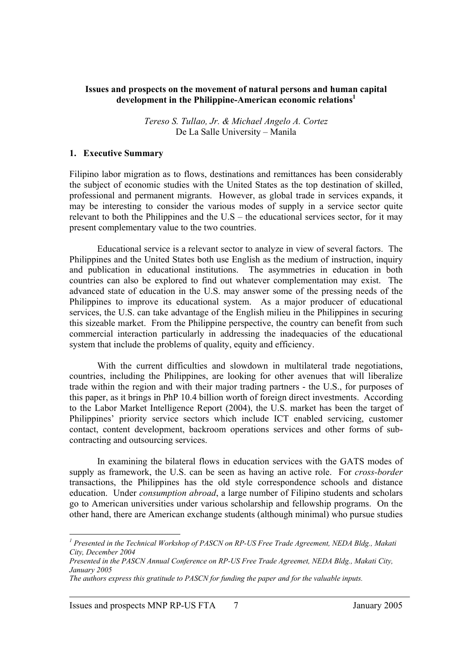## **Issues and prospects on the movement of natural persons and human capital development in the Philippine-American economic relations1**

*Tereso S. Tullao, Jr. & Michael Angelo A. Cortez*  De La Salle University – Manila

#### **1. Executive Summary**

Filipino labor migration as to flows, destinations and remittances has been considerably the subject of economic studies with the United States as the top destination of skilled, professional and permanent migrants. However, as global trade in services expands, it may be interesting to consider the various modes of supply in a service sector quite relevant to both the Philippines and the  $US -$  the educational services sector, for it may present complementary value to the two countries.

 Educational service is a relevant sector to analyze in view of several factors. The Philippines and the United States both use English as the medium of instruction, inquiry and publication in educational institutions. The asymmetries in education in both countries can also be explored to find out whatever complementation may exist. The advanced state of education in the U.S. may answer some of the pressing needs of the Philippines to improve its educational system. As a major producer of educational services, the U.S. can take advantage of the English milieu in the Philippines in securing this sizeable market. From the Philippine perspective, the country can benefit from such commercial interaction particularly in addressing the inadequacies of the educational system that include the problems of quality, equity and efficiency.

With the current difficulties and slowdown in multilateral trade negotiations, countries, including the Philippines, are looking for other avenues that will liberalize trade within the region and with their major trading partners - the U.S., for purposes of this paper, as it brings in PhP 10.4 billion worth of foreign direct investments. According to the Labor Market Intelligence Report (2004), the U.S. market has been the target of Philippines' priority service sectors which include ICT enabled servicing, customer contact, content development, backroom operations services and other forms of subcontracting and outsourcing services.

In examining the bilateral flows in education services with the GATS modes of supply as framework, the U.S. can be seen as having an active role. For *cross-border* transactions, the Philippines has the old style correspondence schools and distance education. Under *consumption abroad*, a large number of Filipino students and scholars go to American universities under various scholarship and fellowship programs. On the other hand, there are American exchange students (although minimal) who pursue studies

Issues and prospects MNP RP-US FTA 7 January 2005

<sup>&</sup>lt;sup>1</sup> Presented in the Technical Workshop of PASCN on RP-US Free Trade Agreement, NEDA Bldg., Makati *City, December 2004* 

*Presented in the PASCN Annual Conference on RP-US Free Trade Agreemet, NEDA Bldg., Makati City, January 2005* 

*The authors express this gratitude to PASCN for funding the paper and for the valuable inputs.*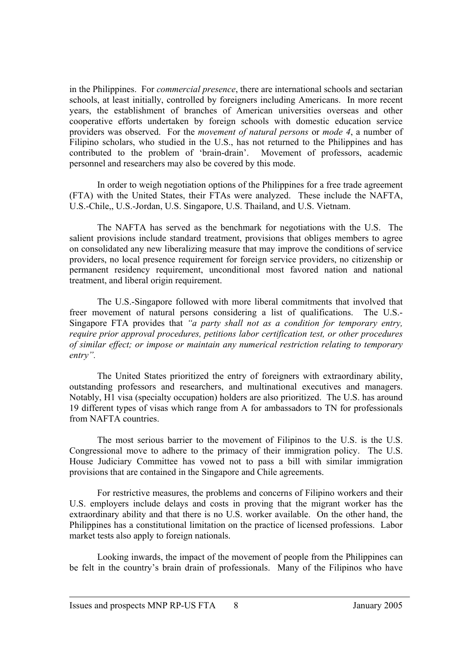in the Philippines. For *commercial presence*, there are international schools and sectarian schools, at least initially, controlled by foreigners including Americans. In more recent years, the establishment of branches of American universities overseas and other cooperative efforts undertaken by foreign schools with domestic education service providers was observed. For the *movement of natural persons* or *mode 4*, a number of Filipino scholars, who studied in the U.S., has not returned to the Philippines and has contributed to the problem of 'brain-drain'. Movement of professors, academic personnel and researchers may also be covered by this mode.

In order to weigh negotiation options of the Philippines for a free trade agreement (FTA) with the United States, their FTAs were analyzed. These include the NAFTA, U.S.-Chile,, U.S.-Jordan, U.S. Singapore, U.S. Thailand, and U.S. Vietnam.

The NAFTA has served as the benchmark for negotiations with the U.S. The salient provisions include standard treatment, provisions that obliges members to agree on consolidated any new liberalizing measure that may improve the conditions of service providers, no local presence requirement for foreign service providers, no citizenship or permanent residency requirement, unconditional most favored nation and national treatment, and liberal origin requirement.

The U.S.-Singapore followed with more liberal commitments that involved that freer movement of natural persons considering a list of qualifications. The U.S.- Singapore FTA provides that *"a party shall not as a condition for temporary entry, require prior approval procedures, petitions labor certification test, or other procedures of similar effect; or impose or maintain any numerical restriction relating to temporary entry".* 

The United States prioritized the entry of foreigners with extraordinary ability, outstanding professors and researchers, and multinational executives and managers. Notably, H1 visa (specialty occupation) holders are also prioritized. The U.S. has around 19 different types of visas which range from A for ambassadors to TN for professionals from NAFTA countries.

The most serious barrier to the movement of Filipinos to the U.S. is the U.S. Congressional move to adhere to the primacy of their immigration policy. The U.S. House Judiciary Committee has vowed not to pass a bill with similar immigration provisions that are contained in the Singapore and Chile agreements.

For restrictive measures, the problems and concerns of Filipino workers and their U.S. employers include delays and costs in proving that the migrant worker has the extraordinary ability and that there is no U.S. worker available. On the other hand, the Philippines has a constitutional limitation on the practice of licensed professions. Labor market tests also apply to foreign nationals.

Looking inwards, the impact of the movement of people from the Philippines can be felt in the country's brain drain of professionals. Many of the Filipinos who have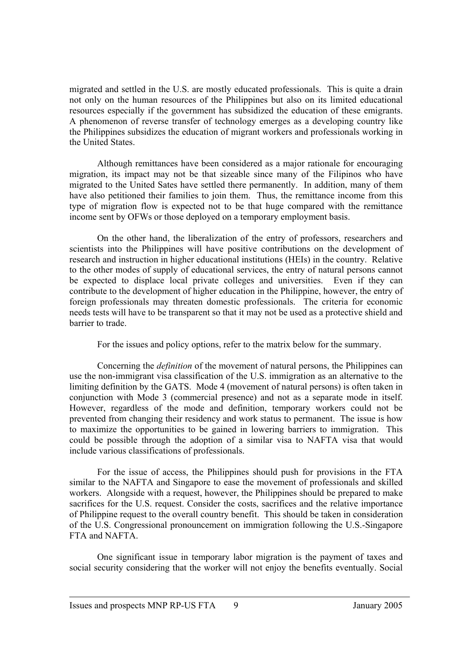migrated and settled in the U.S. are mostly educated professionals. This is quite a drain not only on the human resources of the Philippines but also on its limited educational resources especially if the government has subsidized the education of these emigrants. A phenomenon of reverse transfer of technology emerges as a developing country like the Philippines subsidizes the education of migrant workers and professionals working in the United States.

Although remittances have been considered as a major rationale for encouraging migration, its impact may not be that sizeable since many of the Filipinos who have migrated to the United Sates have settled there permanently. In addition, many of them have also petitioned their families to join them. Thus, the remittance income from this type of migration flow is expected not to be that huge compared with the remittance income sent by OFWs or those deployed on a temporary employment basis.

On the other hand, the liberalization of the entry of professors, researchers and scientists into the Philippines will have positive contributions on the development of research and instruction in higher educational institutions (HEIs) in the country. Relative to the other modes of supply of educational services, the entry of natural persons cannot be expected to displace local private colleges and universities. Even if they can contribute to the development of higher education in the Philippine, however, the entry of foreign professionals may threaten domestic professionals. The criteria for economic needs tests will have to be transparent so that it may not be used as a protective shield and barrier to trade.

For the issues and policy options, refer to the matrix below for the summary.

Concerning the *definition* of the movement of natural persons, the Philippines can use the non-immigrant visa classification of the U.S. immigration as an alternative to the limiting definition by the GATS. Mode 4 (movement of natural persons) is often taken in conjunction with Mode 3 (commercial presence) and not as a separate mode in itself. However, regardless of the mode and definition, temporary workers could not be prevented from changing their residency and work status to permanent. The issue is how to maximize the opportunities to be gained in lowering barriers to immigration. This could be possible through the adoption of a similar visa to NAFTA visa that would include various classifications of professionals.

For the issue of access, the Philippines should push for provisions in the FTA similar to the NAFTA and Singapore to ease the movement of professionals and skilled workers. Alongside with a request, however, the Philippines should be prepared to make sacrifices for the U.S. request. Consider the costs, sacrifices and the relative importance of Philippine request to the overall country benefit. This should be taken in consideration of the U.S. Congressional pronouncement on immigration following the U.S.-Singapore FTA and NAFTA.

One significant issue in temporary labor migration is the payment of taxes and social security considering that the worker will not enjoy the benefits eventually. Social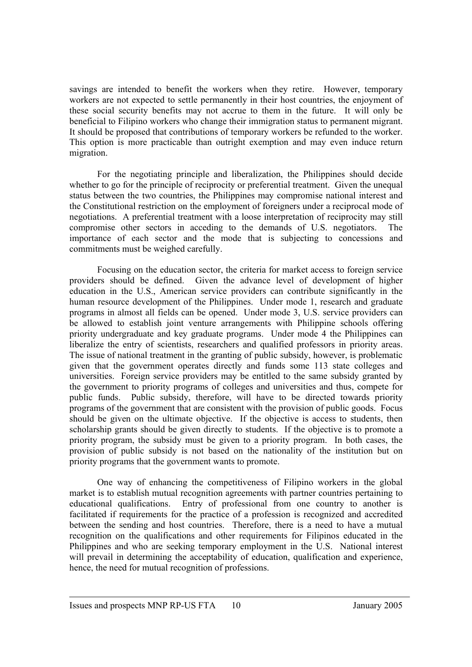savings are intended to benefit the workers when they retire. However, temporary workers are not expected to settle permanently in their host countries, the enjoyment of these social security benefits may not accrue to them in the future. It will only be beneficial to Filipino workers who change their immigration status to permanent migrant. It should be proposed that contributions of temporary workers be refunded to the worker. This option is more practicable than outright exemption and may even induce return migration.

For the negotiating principle and liberalization, the Philippines should decide whether to go for the principle of reciprocity or preferential treatment. Given the unequal status between the two countries, the Philippines may compromise national interest and the Constitutional restriction on the employment of foreigners under a reciprocal mode of negotiations. A preferential treatment with a loose interpretation of reciprocity may still compromise other sectors in acceding to the demands of U.S. negotiators. The importance of each sector and the mode that is subjecting to concessions and commitments must be weighed carefully.

Focusing on the education sector, the criteria for market access to foreign service providers should be defined. Given the advance level of development of higher education in the U.S., American service providers can contribute significantly in the human resource development of the Philippines. Under mode 1, research and graduate programs in almost all fields can be opened. Under mode 3, U.S. service providers can be allowed to establish joint venture arrangements with Philippine schools offering priority undergraduate and key graduate programs. Under mode 4 the Philippines can liberalize the entry of scientists, researchers and qualified professors in priority areas. The issue of national treatment in the granting of public subsidy, however, is problematic given that the government operates directly and funds some 113 state colleges and universities. Foreign service providers may be entitled to the same subsidy granted by the government to priority programs of colleges and universities and thus, compete for public funds. Public subsidy, therefore, will have to be directed towards priority programs of the government that are consistent with the provision of public goods. Focus should be given on the ultimate objective. If the objective is access to students, then scholarship grants should be given directly to students. If the objective is to promote a priority program, the subsidy must be given to a priority program. In both cases, the provision of public subsidy is not based on the nationality of the institution but on priority programs that the government wants to promote.

One way of enhancing the competitiveness of Filipino workers in the global market is to establish mutual recognition agreements with partner countries pertaining to educational qualifications. Entry of professional from one country to another is facilitated if requirements for the practice of a profession is recognized and accredited between the sending and host countries. Therefore, there is a need to have a mutual recognition on the qualifications and other requirements for Filipinos educated in the Philippines and who are seeking temporary employment in the U.S. National interest will prevail in determining the acceptability of education, qualification and experience, hence, the need for mutual recognition of professions.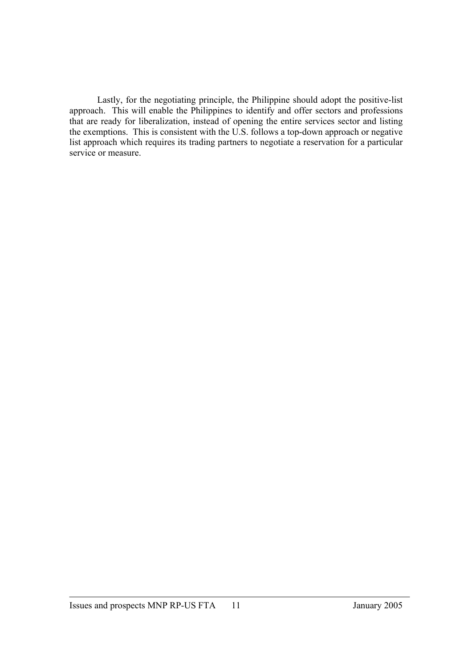Lastly, for the negotiating principle, the Philippine should adopt the positive-list approach. This will enable the Philippines to identify and offer sectors and professions that are ready for liberalization, instead of opening the entire services sector and listing the exemptions. This is consistent with the U.S. follows a top-down approach or negative list approach which requires its trading partners to negotiate a reservation for a particular service or measure.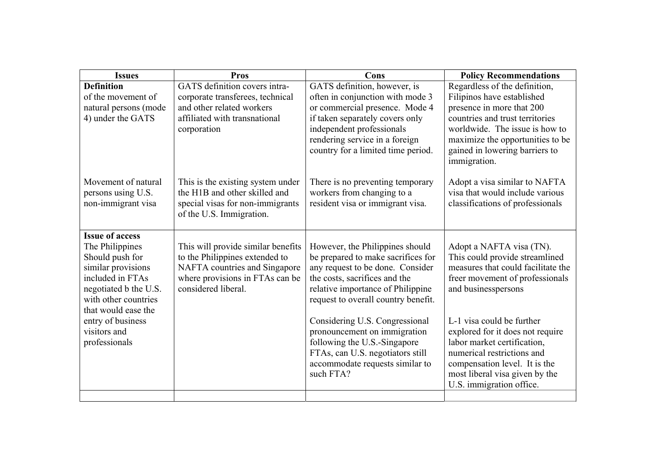| <b>Issues</b>                                                                                                                 | <b>Pros</b>                                                                                                                                                     | Cons                                                                                                                                                                                                                   | <b>Policy Recommendations</b>                                                                                                                                                                                             |
|-------------------------------------------------------------------------------------------------------------------------------|-----------------------------------------------------------------------------------------------------------------------------------------------------------------|------------------------------------------------------------------------------------------------------------------------------------------------------------------------------------------------------------------------|---------------------------------------------------------------------------------------------------------------------------------------------------------------------------------------------------------------------------|
| <b>Definition</b>                                                                                                             | GATS definition covers intra-                                                                                                                                   | GATS definition, however, is                                                                                                                                                                                           | Regardless of the definition,                                                                                                                                                                                             |
| of the movement of                                                                                                            | corporate transferees, technical                                                                                                                                | often in conjunction with mode 3                                                                                                                                                                                       | Filipinos have established                                                                                                                                                                                                |
| natural persons (mode                                                                                                         | and other related workers                                                                                                                                       | or commercial presence. Mode 4                                                                                                                                                                                         | presence in more that 200                                                                                                                                                                                                 |
| 4) under the GATS                                                                                                             | affiliated with transnational<br>corporation                                                                                                                    | if taken separately covers only<br>independent professionals                                                                                                                                                           | countries and trust territories<br>worldwide. The issue is how to                                                                                                                                                         |
|                                                                                                                               |                                                                                                                                                                 | rendering service in a foreign<br>country for a limited time period.                                                                                                                                                   | maximize the opportunities to be<br>gained in lowering barriers to<br>immigration.                                                                                                                                        |
| Movement of natural                                                                                                           | This is the existing system under<br>the H1B and other skilled and                                                                                              | There is no preventing temporary                                                                                                                                                                                       | Adopt a visa similar to NAFTA<br>visa that would include various                                                                                                                                                          |
| persons using U.S.<br>non-immigrant visa                                                                                      | special visas for non-immigrants                                                                                                                                | workers from changing to a<br>resident visa or immigrant visa.                                                                                                                                                         | classifications of professionals                                                                                                                                                                                          |
|                                                                                                                               | of the U.S. Immigration.                                                                                                                                        |                                                                                                                                                                                                                        |                                                                                                                                                                                                                           |
| <b>Issue of access</b>                                                                                                        |                                                                                                                                                                 |                                                                                                                                                                                                                        |                                                                                                                                                                                                                           |
| The Philippines<br>Should push for<br>similar provisions<br>included in FTAs<br>negotiated b the U.S.<br>with other countries | This will provide similar benefits<br>to the Philippines extended to<br>NAFTA countries and Singapore<br>where provisions in FTAs can be<br>considered liberal. | However, the Philippines should<br>be prepared to make sacrifices for<br>any request to be done. Consider<br>the costs, sacrifices and the<br>relative importance of Philippine<br>request to overall country benefit. | Adopt a NAFTA visa (TN).<br>This could provide streamlined<br>measures that could facilitate the<br>freer movement of professionals<br>and businesspersons                                                                |
| that would ease the<br>entry of business<br>visitors and<br>professionals                                                     |                                                                                                                                                                 | Considering U.S. Congressional<br>pronouncement on immigration<br>following the U.S.-Singapore<br>FTAs, can U.S. negotiators still<br>accommodate requests similar to<br>such FTA?                                     | L-1 visa could be further<br>explored for it does not require<br>labor market certification,<br>numerical restrictions and<br>compensation level. It is the<br>most liberal visa given by the<br>U.S. immigration office. |
|                                                                                                                               |                                                                                                                                                                 |                                                                                                                                                                                                                        |                                                                                                                                                                                                                           |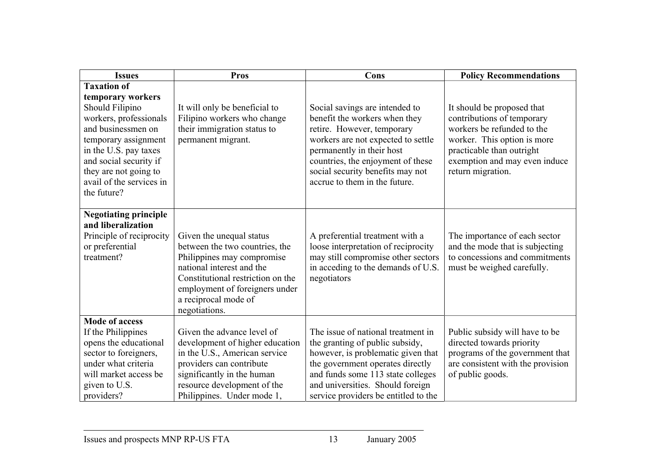| <b>Issues</b>                                | <b>Pros</b>                       | Cons                                 | <b>Policy Recommendations</b>     |
|----------------------------------------------|-----------------------------------|--------------------------------------|-----------------------------------|
| <b>Taxation of</b>                           |                                   |                                      |                                   |
| temporary workers                            |                                   |                                      |                                   |
| Should Filipino                              | It will only be beneficial to     | Social savings are intended to       | It should be proposed that        |
| workers, professionals                       | Filipino workers who change       | benefit the workers when they        | contributions of temporary        |
| and businessmen on                           | their immigration status to       | retire. However, temporary           | workers be refunded to the        |
| temporary assignment                         | permanent migrant.                | workers are not expected to settle   | worker. This option is more       |
| in the U.S. pay taxes                        |                                   | permanently in their host            | practicable than outright         |
| and social security if                       |                                   | countries, the enjoyment of these    | exemption and may even induce     |
| they are not going to                        |                                   | social security benefits may not     | return migration.                 |
| avail of the services in                     |                                   | accrue to them in the future.        |                                   |
| the future?                                  |                                   |                                      |                                   |
|                                              |                                   |                                      |                                   |
| <b>Negotiating principle</b>                 |                                   |                                      |                                   |
| and liberalization                           |                                   |                                      |                                   |
| Principle of reciprocity                     | Given the unequal status          | A preferential treatment with a      | The importance of each sector     |
| or preferential                              | between the two countries, the    | loose interpretation of reciprocity  | and the mode that is subjecting   |
| treatment?                                   | Philippines may compromise        | may still compromise other sectors   | to concessions and commitments    |
|                                              | national interest and the         | in acceding to the demands of U.S.   | must be weighed carefully.        |
|                                              | Constitutional restriction on the | negotiators                          |                                   |
|                                              | employment of foreigners under    |                                      |                                   |
|                                              | a reciprocal mode of              |                                      |                                   |
|                                              | negotiations.                     |                                      |                                   |
| <b>Mode of access</b>                        |                                   |                                      |                                   |
| If the Philippines                           | Given the advance level of        | The issue of national treatment in   | Public subsidy will have to be    |
| opens the educational                        | development of higher education   | the granting of public subsidy,      | directed towards priority         |
| sector to foreigners,<br>under what criteria | in the U.S., American service     | however, is problematic given that   | programs of the government that   |
|                                              | providers can contribute          | the government operates directly     | are consistent with the provision |
| will market access be                        | significantly in the human        | and funds some 113 state colleges    | of public goods.                  |
| given to U.S.                                | resource development of the       | and universities. Should foreign     |                                   |
| providers?                                   | Philippines. Under mode 1,        | service providers be entitled to the |                                   |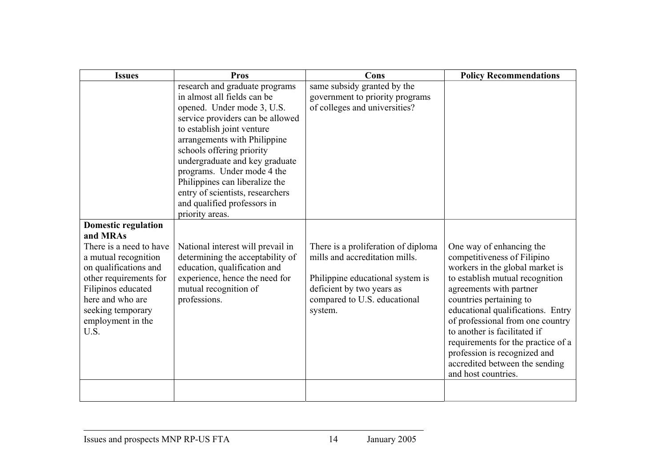| <b>Issues</b>                                                                                                                                                                                                                            | Pros                                                                                                                                                                                                                                                                                                                                                                                                               | Cons                                                                                                                                                                              | <b>Policy Recommendations</b>                                                                                                                                                                                                                                                                                                                                                                                               |
|------------------------------------------------------------------------------------------------------------------------------------------------------------------------------------------------------------------------------------------|--------------------------------------------------------------------------------------------------------------------------------------------------------------------------------------------------------------------------------------------------------------------------------------------------------------------------------------------------------------------------------------------------------------------|-----------------------------------------------------------------------------------------------------------------------------------------------------------------------------------|-----------------------------------------------------------------------------------------------------------------------------------------------------------------------------------------------------------------------------------------------------------------------------------------------------------------------------------------------------------------------------------------------------------------------------|
|                                                                                                                                                                                                                                          | research and graduate programs<br>in almost all fields can be<br>opened. Under mode 3, U.S.<br>service providers can be allowed<br>to establish joint venture<br>arrangements with Philippine<br>schools offering priority<br>undergraduate and key graduate<br>programs. Under mode 4 the<br>Philippines can liberalize the<br>entry of scientists, researchers<br>and qualified professors in<br>priority areas. | same subsidy granted by the<br>government to priority programs<br>of colleges and universities?                                                                                   |                                                                                                                                                                                                                                                                                                                                                                                                                             |
| <b>Domestic regulation</b><br>and MRAs<br>There is a need to have<br>a mutual recognition<br>on qualifications and<br>other requirements for<br>Filipinos educated<br>here and who are<br>seeking temporary<br>employment in the<br>U.S. | National interest will prevail in<br>determining the acceptability of<br>education, qualification and<br>experience, hence the need for<br>mutual recognition of<br>professions.                                                                                                                                                                                                                                   | There is a proliferation of diploma<br>mills and accreditation mills.<br>Philippine educational system is<br>deficient by two years as<br>compared to U.S. educational<br>system. | One way of enhancing the<br>competitiveness of Filipino<br>workers in the global market is<br>to establish mutual recognition<br>agreements with partner<br>countries pertaining to<br>educational qualifications. Entry<br>of professional from one country<br>to another is facilitated if<br>requirements for the practice of a<br>profession is recognized and<br>accredited between the sending<br>and host countries. |
|                                                                                                                                                                                                                                          |                                                                                                                                                                                                                                                                                                                                                                                                                    |                                                                                                                                                                                   |                                                                                                                                                                                                                                                                                                                                                                                                                             |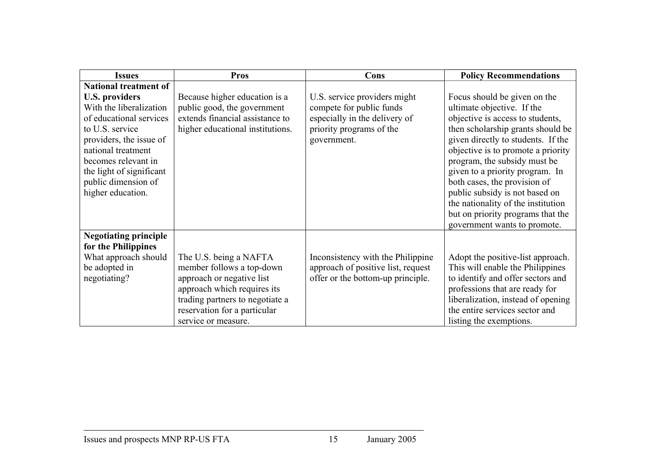| Issues                                                                                                                                                                                                                                         | <b>Pros</b>                                                                                                                                                                                               | Cons                                                                                                                                 | <b>Policy Recommendations</b>                                                                                                                                                                                                                                                                                                                                                                                                                                   |
|------------------------------------------------------------------------------------------------------------------------------------------------------------------------------------------------------------------------------------------------|-----------------------------------------------------------------------------------------------------------------------------------------------------------------------------------------------------------|--------------------------------------------------------------------------------------------------------------------------------------|-----------------------------------------------------------------------------------------------------------------------------------------------------------------------------------------------------------------------------------------------------------------------------------------------------------------------------------------------------------------------------------------------------------------------------------------------------------------|
| <b>National treatment of</b>                                                                                                                                                                                                                   |                                                                                                                                                                                                           |                                                                                                                                      |                                                                                                                                                                                                                                                                                                                                                                                                                                                                 |
| <b>U.S. providers</b><br>With the liberalization<br>of educational services<br>to U.S. service<br>providers, the issue of<br>national treatment<br>becomes relevant in<br>the light of significant<br>public dimension of<br>higher education. | Because higher education is a<br>public good, the government<br>extends financial assistance to<br>higher educational institutions.                                                                       | U.S. service providers might<br>compete for public funds<br>especially in the delivery of<br>priority programs of the<br>government. | Focus should be given on the<br>ultimate objective. If the<br>objective is access to students,<br>then scholarship grants should be<br>given directly to students. If the<br>objective is to promote a priority<br>program, the subsidy must be<br>given to a priority program. In<br>both cases, the provision of<br>public subsidy is not based on<br>the nationality of the institution<br>but on priority programs that the<br>government wants to promote. |
| <b>Negotiating principle</b><br>for the Philippines<br>What approach should<br>be adopted in<br>negotiating?                                                                                                                                   | The U.S. being a NAFTA<br>member follows a top-down<br>approach or negative list<br>approach which requires its<br>trading partners to negotiate a<br>reservation for a particular<br>service or measure. | Inconsistency with the Philippine<br>approach of positive list, request<br>offer or the bottom-up principle.                         | Adopt the positive-list approach.<br>This will enable the Philippines<br>to identify and offer sectors and<br>professions that are ready for<br>liberalization, instead of opening<br>the entire services sector and<br>listing the exemptions.                                                                                                                                                                                                                 |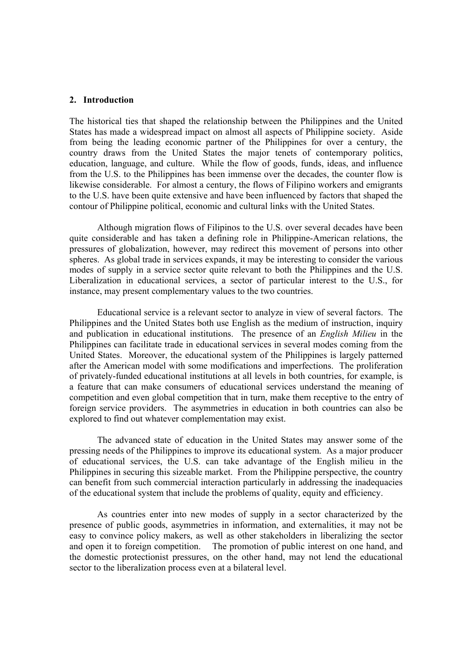#### **2. Introduction**

The historical ties that shaped the relationship between the Philippines and the United States has made a widespread impact on almost all aspects of Philippine society. Aside from being the leading economic partner of the Philippines for over a century, the country draws from the United States the major tenets of contemporary politics, education, language, and culture. While the flow of goods, funds, ideas, and influence from the U.S. to the Philippines has been immense over the decades, the counter flow is likewise considerable. For almost a century, the flows of Filipino workers and emigrants to the U.S. have been quite extensive and have been influenced by factors that shaped the contour of Philippine political, economic and cultural links with the United States.

 Although migration flows of Filipinos to the U.S. over several decades have been quite considerable and has taken a defining role in Philippine-American relations, the pressures of globalization, however, may redirect this movement of persons into other spheres. As global trade in services expands, it may be interesting to consider the various modes of supply in a service sector quite relevant to both the Philippines and the U.S. Liberalization in educational services, a sector of particular interest to the U.S., for instance, may present complementary values to the two countries.

 Educational service is a relevant sector to analyze in view of several factors. The Philippines and the United States both use English as the medium of instruction, inquiry and publication in educational institutions. The presence of an *English Milieu* in the Philippines can facilitate trade in educational services in several modes coming from the United States. Moreover, the educational system of the Philippines is largely patterned after the American model with some modifications and imperfections. The proliferation of privately-funded educational institutions at all levels in both countries, for example, is a feature that can make consumers of educational services understand the meaning of competition and even global competition that in turn, make them receptive to the entry of foreign service providers. The asymmetries in education in both countries can also be explored to find out whatever complementation may exist.

The advanced state of education in the United States may answer some of the pressing needs of the Philippines to improve its educational system. As a major producer of educational services, the U.S. can take advantage of the English milieu in the Philippines in securing this sizeable market. From the Philippine perspective, the country can benefit from such commercial interaction particularly in addressing the inadequacies of the educational system that include the problems of quality, equity and efficiency.

As countries enter into new modes of supply in a sector characterized by the presence of public goods, asymmetries in information, and externalities, it may not be easy to convince policy makers, as well as other stakeholders in liberalizing the sector and open it to foreign competition. The promotion of public interest on one hand, and the domestic protectionist pressures, on the other hand, may not lend the educational sector to the liberalization process even at a bilateral level.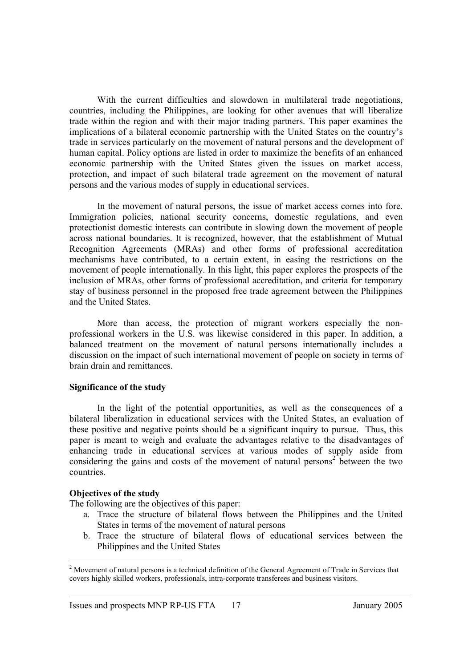With the current difficulties and slowdown in multilateral trade negotiations, countries, including the Philippines, are looking for other avenues that will liberalize trade within the region and with their major trading partners. This paper examines the implications of a bilateral economic partnership with the United States on the country's trade in services particularly on the movement of natural persons and the development of human capital. Policy options are listed in order to maximize the benefits of an enhanced economic partnership with the United States given the issues on market access, protection, and impact of such bilateral trade agreement on the movement of natural persons and the various modes of supply in educational services.

In the movement of natural persons, the issue of market access comes into fore. Immigration policies, national security concerns, domestic regulations, and even protectionist domestic interests can contribute in slowing down the movement of people across national boundaries. It is recognized, however, that the establishment of Mutual Recognition Agreements (MRAs) and other forms of professional accreditation mechanisms have contributed, to a certain extent, in easing the restrictions on the movement of people internationally. In this light, this paper explores the prospects of the inclusion of MRAs, other forms of professional accreditation, and criteria for temporary stay of business personnel in the proposed free trade agreement between the Philippines and the United States.

More than access, the protection of migrant workers especially the nonprofessional workers in the U.S. was likewise considered in this paper. In addition, a balanced treatment on the movement of natural persons internationally includes a discussion on the impact of such international movement of people on society in terms of brain drain and remittances.

## **Significance of the study**

In the light of the potential opportunities, as well as the consequences of a bilateral liberalization in educational services with the United States, an evaluation of these positive and negative points should be a significant inquiry to pursue. Thus, this paper is meant to weigh and evaluate the advantages relative to the disadvantages of enhancing trade in educational services at various modes of supply aside from considering the gains and costs of the movement of natural persons<sup>2</sup> between the two countries.

## **Objectives of the study**

The following are the objectives of this paper:

- a. Trace the structure of bilateral flows between the Philippines and the United States in terms of the movement of natural persons
- b. Trace the structure of bilateral flows of educational services between the Philippines and the United States

 $2^{2}$  Movement of natural persons is a technical definition of the General Agreement of Trade in Services that covers highly skilled workers, professionals, intra-corporate transferees and business visitors.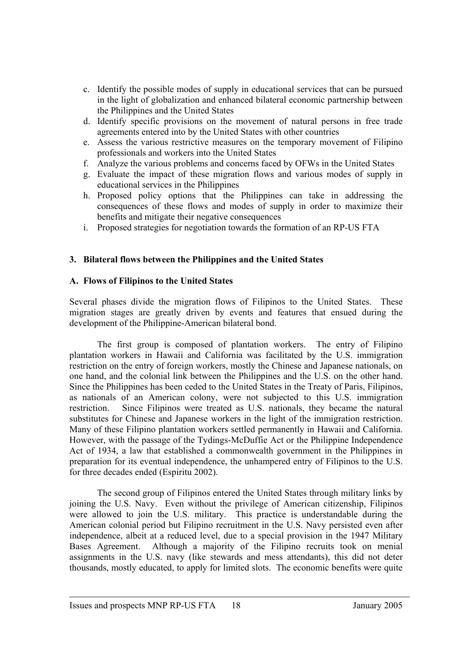- c. Identify the possible modes of supply in educational services that can be pursued in the light of globalization and enhanced bilateral economic partnership between the Philippines and the United States
- d. Identify specific provisions on the movement of natural persons in free trade agreements entered into by the United States with other countries
- e. Assess the various restrictive measures on the temporary movement of Filipino professionals and workers into the United States
- f. Analyze the various problems and concerns faced by OFWs in the United States
- g. Evaluate the impact of these migration flows and various modes of supply in educational services in the Philippines
- h. Proposed policy options that the Philippines can take in addressing the consequences of these flows and modes of supply in order to maximize their benefits and mitigate their negative consequences
- i. Proposed strategies for negotiation towards the formation of an RP-US FTA

## **3. Bilateral flows between the Philippines and the United States**

## **A. Flows of Filipinos to the United States**

Several phases divide the migration flows of Filipinos to the United States. These migration stages are greatly driven by events and features that ensued during the development of the Philippine-American bilateral bond.

 The first group is composed of plantation workers. The entry of Filipino plantation workers in Hawaii and California was facilitated by the U.S. immigration restriction on the entry of foreign workers, mostly the Chinese and Japanese nationals, on one hand, and the colonial link between the Philippines and the U.S. on the other hand. Since the Philippines has been ceded to the United States in the Treaty of Paris, Filipinos, as nationals of an American colony, were not subjected to this U.S. immigration restriction. Since Filipinos were treated as U.S. nationals, they became the natural substitutes for Chinese and Japanese workers in the light of the immigration restriction. Many of these Filipino plantation workers settled permanently in Hawaii and California. However, with the passage of the Tydings-McDuffie Act or the Philippine Independence Act of 1934, a law that established a commonwealth government in the Philippines in preparation for its eventual independence, the unhampered entry of Filipinos to the U.S. for three decades ended (Espiritu 2002).

 The second group of Filipinos entered the United States through military links by joining the U.S. Navy. Even without the privilege of American citizenship, Filipinos were allowed to join the U.S. military. This practice is understandable during the American colonial period but Filipino recruitment in the U.S. Navy persisted even after independence, albeit at a reduced level, due to a special provision in the 1947 Military Bases Agreement. Although a majority of the Filipino recruits took on menial assignments in the U.S. navy (like stewards and mess attendants), this did not deter thousands, mostly educated, to apply for limited slots. The economic benefits were quite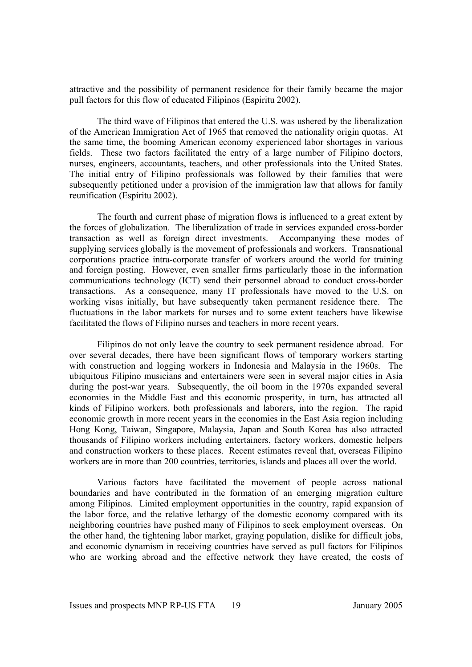attractive and the possibility of permanent residence for their family became the major pull factors for this flow of educated Filipinos (Espiritu 2002).

 The third wave of Filipinos that entered the U.S. was ushered by the liberalization of the American Immigration Act of 1965 that removed the nationality origin quotas. At the same time, the booming American economy experienced labor shortages in various fields. These two factors facilitated the entry of a large number of Filipino doctors, nurses, engineers, accountants, teachers, and other professionals into the United States. The initial entry of Filipino professionals was followed by their families that were subsequently petitioned under a provision of the immigration law that allows for family reunification (Espiritu 2002).

 The fourth and current phase of migration flows is influenced to a great extent by the forces of globalization. The liberalization of trade in services expanded cross-border transaction as well as foreign direct investments. Accompanying these modes of supplying services globally is the movement of professionals and workers. Transnational corporations practice intra-corporate transfer of workers around the world for training and foreign posting. However, even smaller firms particularly those in the information communications technology (ICT) send their personnel abroad to conduct cross-border transactions. As a consequence, many IT professionals have moved to the U.S. on working visas initially, but have subsequently taken permanent residence there. The fluctuations in the labor markets for nurses and to some extent teachers have likewise facilitated the flows of Filipino nurses and teachers in more recent years.

Filipinos do not only leave the country to seek permanent residence abroad. For over several decades, there have been significant flows of temporary workers starting with construction and logging workers in Indonesia and Malaysia in the 1960s. The ubiquitous Filipino musicians and entertainers were seen in several major cities in Asia during the post-war years. Subsequently, the oil boom in the 1970s expanded several economies in the Middle East and this economic prosperity, in turn, has attracted all kinds of Filipino workers, both professionals and laborers, into the region. The rapid economic growth in more recent years in the economies in the East Asia region including Hong Kong, Taiwan, Singapore, Malaysia, Japan and South Korea has also attracted thousands of Filipino workers including entertainers, factory workers, domestic helpers and construction workers to these places. Recent estimates reveal that, overseas Filipino workers are in more than 200 countries, territories, islands and places all over the world.

Various factors have facilitated the movement of people across national boundaries and have contributed in the formation of an emerging migration culture among Filipinos. Limited employment opportunities in the country, rapid expansion of the labor force, and the relative lethargy of the domestic economy compared with its neighboring countries have pushed many of Filipinos to seek employment overseas. On the other hand, the tightening labor market, graying population, dislike for difficult jobs, and economic dynamism in receiving countries have served as pull factors for Filipinos who are working abroad and the effective network they have created, the costs of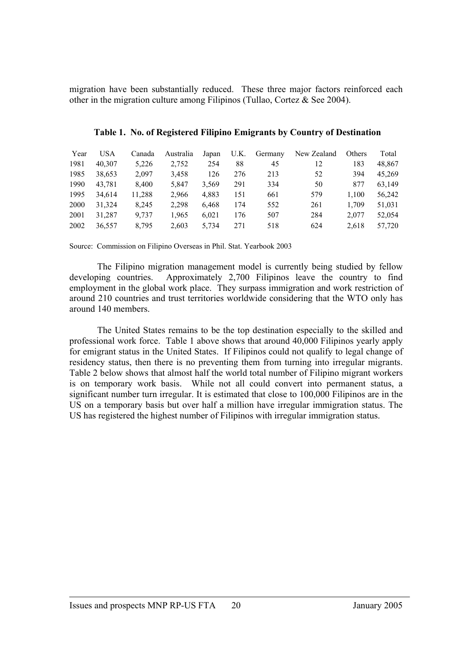migration have been substantially reduced. These three major factors reinforced each other in the migration culture among Filipinos (Tullao, Cortez & See 2004).

| Year | USA    | Canada | Australia | Japan | U.K. | Germany | New Zealand | Others | Total  |
|------|--------|--------|-----------|-------|------|---------|-------------|--------|--------|
| 1981 | 40,307 | 5,226  | 2,752     | 254   | 88   | 45      | 12          | 183    | 48,867 |
| 1985 | 38.653 | 2.097  | 3,458     | 126   | 276  | 213     | 52          | 394    | 45.269 |
| 1990 | 43.781 | 8.400  | 5.847     | 3.569 | 291  | 334     | 50          | 877    | 63,149 |
| 1995 | 34.614 | 11,288 | 2,966     | 4.883 | 151  | 661     | 579         | 1.100  | 56,242 |
| 2000 | 31.324 | 8.245  | 2.298     | 6.468 | 174  | 552     | 261         | 1.709  | 51.031 |
| 2001 | 31,287 | 9.737  | 1.965     | 6.021 | 176  | 507     | 284         | 2.077  | 52,054 |
| 2002 | 36.557 | 8,795  | 2.603     | 5,734 | 271  | 518     | 624         | 2.618  | 57,720 |

## **Table 1. No. of Registered Filipino Emigrants by Country of Destination**

Source: Commission on Filipino Overseas in Phil. Stat. Yearbook 2003

The Filipino migration management model is currently being studied by fellow developing countries. Approximately 2,700 Filipinos leave the country to find employment in the global work place. They surpass immigration and work restriction of around 210 countries and trust territories worldwide considering that the WTO only has around 140 members.

The United States remains to be the top destination especially to the skilled and professional work force. Table 1 above shows that around 40,000 Filipinos yearly apply for emigrant status in the United States. If Filipinos could not qualify to legal change of residency status, then there is no preventing them from turning into irregular migrants. Table 2 below shows that almost half the world total number of Filipino migrant workers is on temporary work basis. While not all could convert into permanent status, a significant number turn irregular. It is estimated that close to 100,000 Filipinos are in the US on a temporary basis but over half a million have irregular immigration status. The US has registered the highest number of Filipinos with irregular immigration status.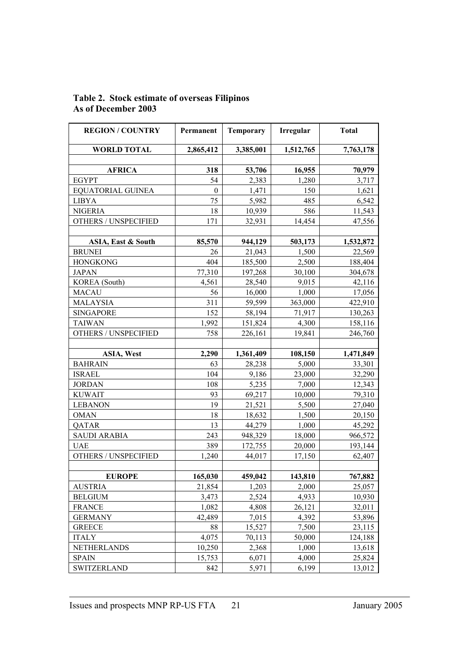**Table 2. Stock estimate of overseas Filipinos As of December 2003** 

| <b>REGION/COUNTRY</b>       | Permanent    | <b>Temporary</b> | Irregular | <b>Total</b> |
|-----------------------------|--------------|------------------|-----------|--------------|
| <b>WORLD TOTAL</b>          | 2,865,412    | 3,385,001        | 1,512,765 | 7,763,178    |
|                             |              |                  |           |              |
| <b>AFRICA</b>               | 318          | 53,706           | 16,955    | 70,979       |
| <b>EGYPT</b>                | 54           | 2,383            | 1,280     | 3,717        |
| <b>EQUATORIAL GUINEA</b>    | $\mathbf{0}$ | 1,471            | 150       | 1,621        |
| <b>LIBYA</b>                | 75           | 5,982            | 485       | 6,542        |
| <b>NIGERIA</b>              | 18           | 10,939           | 586       | 11,543       |
| OTHERS / UNSPECIFIED        | 171          | 32,931           | 14,454    | 47,556       |
|                             |              |                  |           |              |
| ASIA, East & South          | 85,570       | 944,129          | 503,173   | 1,532,872    |
| <b>BRUNEI</b>               | 26           | 21,043           | 1,500     | 22,569       |
| <b>HONGKONG</b>             | 404          | 185,500          | 2,500     | 188,404      |
| <b>JAPAN</b>                | 77,310       | 197,268          | 30,100    | 304,678      |
| <b>KOREA</b> (South)        | 4,561        | 28,540           | 9,015     | 42,116       |
| <b>MACAU</b>                | 56           | 16,000           | 1,000     | 17,056       |
| <b>MALAYSIA</b>             | 311          | 59,599           | 363,000   | 422,910      |
| <b>SINGAPORE</b>            | 152          | 58,194           | 71,917    | 130,263      |
| <b>TAIWAN</b>               | 1,992        | 151,824          | 4,300     | 158,116      |
| OTHERS / UNSPECIFIED        | 758          | 226,161          | 19,841    | 246,760      |
|                             |              |                  |           |              |
| <b>ASIA, West</b>           | 2,290        | 1,361,409        | 108,150   | 1,471,849    |
| <b>BAHRAIN</b>              | 63           | 28,238           | 5,000     | 33,301       |
| <b>ISRAEL</b>               | 104          | 9,186            | 23,000    | 32,290       |
| <b>JORDAN</b>               | 108          | 5,235            | 7,000     | 12,343       |
| <b>KUWAIT</b>               | 93           | 69,217           | 10,000    | 79,310       |
| <b>LEBANON</b>              | 19           | 21,521           | 5,500     | 27,040       |
| <b>OMAN</b>                 | 18           | 18,632           | 1,500     | 20,150       |
| QATAR                       | 13           | 44,279           | 1,000     | 45,292       |
| <b>SAUDI ARABIA</b>         | 243          | 948,329          | 18,000    | 966,572      |
| <b>UAE</b>                  | 389          | 172,755          | 20,000    | 193,144      |
| <b>OTHERS / UNSPECIFIED</b> | 1,240        | 44,017           | 17,150    | 62,407       |
|                             |              |                  |           |              |
| <b>EUROPE</b>               | 165,030      | 459,042          | 143,810   | 767,882      |
| <b>AUSTRIA</b>              | 21,854       | 1,203            | 2,000     | 25,057       |
| <b>BELGIUM</b>              | 3,473        | 2,524            | 4,933     | 10,930       |
| <b>FRANCE</b>               | 1,082        | 4,808            | 26,121    | 32,011       |
| <b>GERMANY</b>              | 42,489       | 7,015            | 4,392     | 53,896       |
| <b>GREECE</b>               | 88           | 15,527           | 7,500     | 23,115       |
| <b>ITALY</b>                | 4,075        | 70,113           | 50,000    | 124,188      |
| <b>NETHERLANDS</b>          | 10,250       | 2,368            | 1,000     | 13,618       |
| <b>SPAIN</b>                | 15,753       | 6,071            | 4,000     | 25,824       |
| <b>SWITZERLAND</b>          | 842          | 5,971            | 6,199     | 13,012       |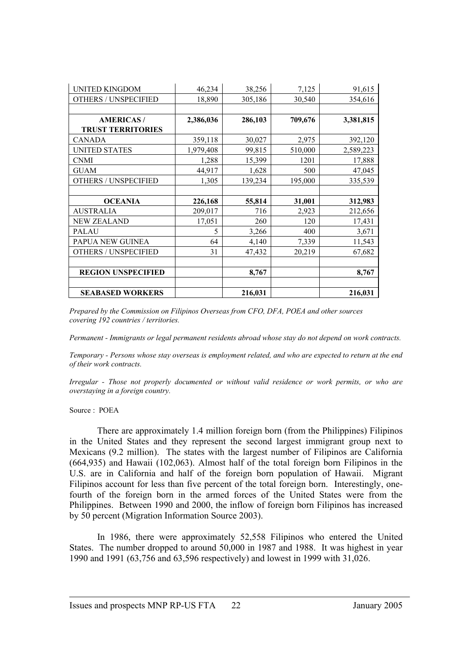| <b>UNITED KINGDOM</b>       | 46,234    | 38,256  | 7,125   | 91,615    |
|-----------------------------|-----------|---------|---------|-----------|
| OTHERS / UNSPECIFIED        | 18,890    | 305,186 | 30,540  | 354,616   |
|                             |           |         |         |           |
| <b>AMERICAS/</b>            | 2,386,036 | 286,103 | 709,676 | 3,381,815 |
| <b>TRUST TERRITORIES</b>    |           |         |         |           |
| <b>CANADA</b>               | 359,118   | 30,027  | 2,975   | 392,120   |
| <b>UNITED STATES</b>        | 1,979,408 | 99,815  | 510,000 | 2,589,223 |
| <b>CNMI</b>                 | 1,288     | 15,399  | 1201    | 17,888    |
| <b>GUAM</b>                 | 44,917    | 1,628   | 500     | 47,045    |
| <b>OTHERS / UNSPECIFIED</b> | 1,305     | 139,234 | 195,000 | 335,539   |
|                             |           |         |         |           |
| <b>OCEANIA</b>              | 226,168   | 55,814  | 31,001  | 312,983   |
| <b>AUSTRALIA</b>            | 209,017   | 716     | 2,923   | 212,656   |
| <b>NEW ZEALAND</b>          | 17,051    | 260     | 120     | 17,431    |
| <b>PALAU</b>                | 5         | 3,266   | 400     | 3,671     |
| PAPUA NEW GUINEA            | 64        | 4,140   | 7,339   | 11,543    |
| <b>OTHERS / UNSPECIFIED</b> | 31        | 47,432  | 20,219  | 67,682    |
|                             |           |         |         |           |
| <b>REGION UNSPECIFIED</b>   |           | 8,767   |         | 8,767     |
|                             |           |         |         |           |
| <b>SEABASED WORKERS</b>     |           | 216,031 |         | 216,031   |

*Prepared by the Commission on Filipinos Overseas from CFO, DFA, POEA and other sources covering 192 countries / territories.* 

*Permanent - Immigrants or legal permanent residents abroad whose stay do not depend on work contracts.* 

*Temporary - Persons whose stay overseas is employment related, and who are expected to return at the end of their work contracts.* 

*Irregular - Those not properly documented or without valid residence or work permits, or who are overstaying in a foreign country.*

#### Source : POEA

 There are approximately 1.4 million foreign born (from the Philippines) Filipinos in the United States and they represent the second largest immigrant group next to Mexicans (9.2 million). The states with the largest number of Filipinos are California (664,935) and Hawaii (102,063). Almost half of the total foreign born Filipinos in the U.S. are in California and half of the foreign born population of Hawaii. Migrant Filipinos account for less than five percent of the total foreign born. Interestingly, onefourth of the foreign born in the armed forces of the United States were from the Philippines. Between 1990 and 2000, the inflow of foreign born Filipinos has increased by 50 percent (Migration Information Source 2003).

In 1986, there were approximately 52,558 Filipinos who entered the United States. The number dropped to around 50,000 in 1987 and 1988. It was highest in year 1990 and 1991 (63,756 and 63,596 respectively) and lowest in 1999 with 31,026.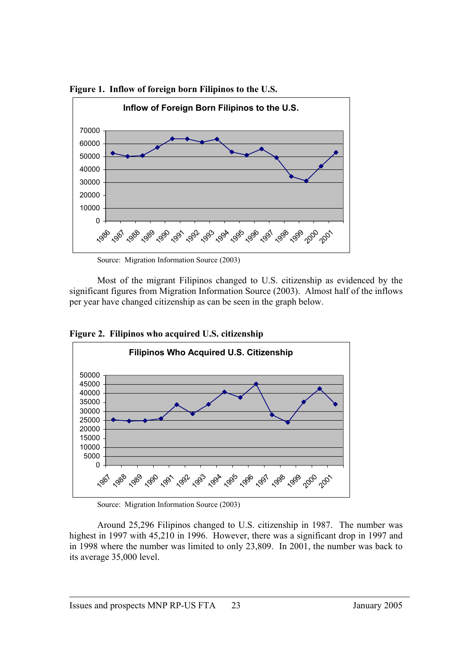

**Figure 1. Inflow of foreign born Filipinos to the U.S.** 

Source: Migration Information Source (2003)

 Most of the migrant Filipinos changed to U.S. citizenship as evidenced by the significant figures from Migration Information Source (2003). Almost half of the inflows per year have changed citizenship as can be seen in the graph below.





Source: Migration Information Source (2003)

Around 25,296 Filipinos changed to U.S. citizenship in 1987. The number was highest in 1997 with 45,210 in 1996. However, there was a significant drop in 1997 and in 1998 where the number was limited to only 23,809. In 2001, the number was back to its average 35,000 level.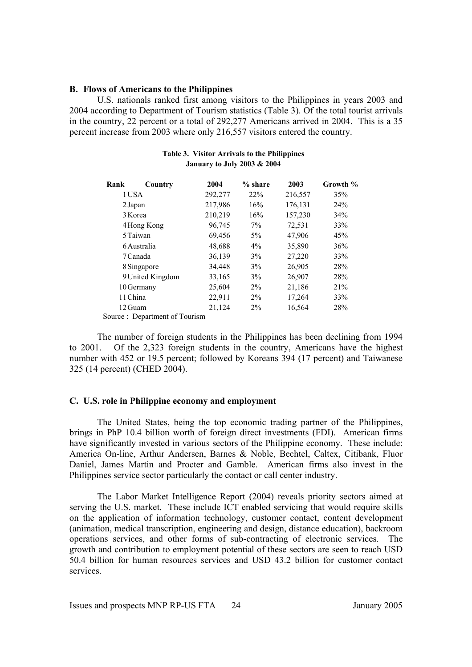#### **B. Flows of Americans to the Philippines**

U.S. nationals ranked first among visitors to the Philippines in years 2003 and 2004 according to Department of Tourism statistics (Table 3). Of the total tourist arrivals in the country, 22 percent or a total of 292,277 Americans arrived in 2004. This is a 35 percent increase from 2003 where only 216,557 visitors entered the country.

|                                        |  | Table 3. Visitor Arrivals to the Philippines |  |
|----------------------------------------|--|----------------------------------------------|--|
| <b>January to July 2003 &amp; 2004</b> |  |                                              |  |

| Rank | Country                                                   | 2004    | $%$ share | 2003    | Growth % |
|------|-----------------------------------------------------------|---------|-----------|---------|----------|
|      | 1 USA                                                     | 292,277 | 22%       | 216,557 | 35%      |
|      | 2 Japan                                                   | 217,986 | 16%       | 176,131 | 24%      |
|      | 3 Korea                                                   | 210,219 | 16%       | 157,230 | 34%      |
|      | 4 Hong Kong                                               | 96,745  | $7\%$     | 72,531  | 33%      |
|      | 5 Taiwan                                                  | 69,456  | $5\%$     | 47,906  | 45%      |
|      | 6 Australia                                               | 48,688  | $4\%$     | 35,890  | 36%      |
|      | 7 Canada                                                  | 36,139  | 3%        | 27,220  | 33%      |
|      | 8 Singapore                                               | 34,448  | 3%        | 26,905  | 28%      |
|      | 9 United Kingdom                                          | 33,165  | $3\%$     | 26,907  | 28%      |
|      | 10 Germany                                                | 25,604  | $2\%$     | 21,186  | 21%      |
|      | 11 China                                                  | 22,911  | $2\%$     | 17,264  | 33%      |
|      | 12 Guam                                                   | 21,124  | $2\%$     | 16,564  | 28%      |
|      | $\mathcal{R}_{\text{out},\alpha}$ : Department of Touriam |         |           |         |          |

Source : Department of Tourism

The number of foreign students in the Philippines has been declining from 1994 to 2001. Of the 2,323 foreign students in the country, Americans have the highest number with 452 or 19.5 percent; followed by Koreans 394 (17 percent) and Taiwanese 325 (14 percent) (CHED 2004).

## **C. U.S. role in Philippine economy and employment**

The United States, being the top economic trading partner of the Philippines, brings in PhP 10.4 billion worth of foreign direct investments (FDI). American firms have significantly invested in various sectors of the Philippine economy. These include: America On-line, Arthur Andersen, Barnes & Noble, Bechtel, Caltex, Citibank, Fluor Daniel, James Martin and Procter and Gamble. American firms also invest in the Philippines service sector particularly the contact or call center industry.

 The Labor Market Intelligence Report (2004) reveals priority sectors aimed at serving the U.S. market. These include ICT enabled servicing that would require skills on the application of information technology, customer contact, content development (animation, medical transcription, engineering and design, distance education), backroom operations services, and other forms of sub-contracting of electronic services. The growth and contribution to employment potential of these sectors are seen to reach USD 50.4 billion for human resources services and USD 43.2 billion for customer contact services.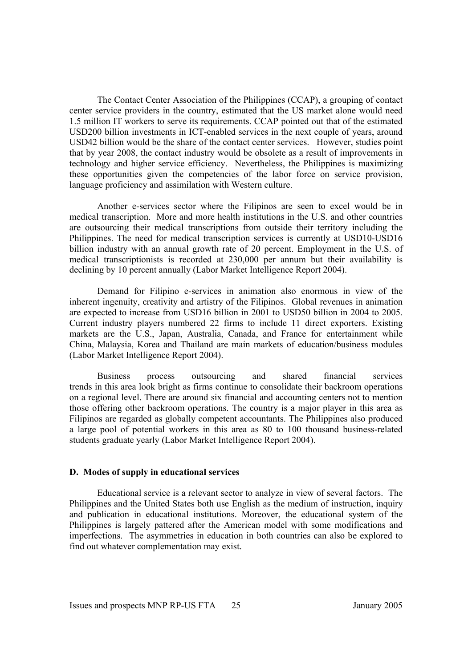The Contact Center Association of the Philippines (CCAP), a grouping of contact center service providers in the country, estimated that the US market alone would need 1.5 million IT workers to serve its requirements. CCAP pointed out that of the estimated USD200 billion investments in ICT-enabled services in the next couple of years, around USD42 billion would be the share of the contact center services. However, studies point that by year 2008, the contact industry would be obsolete as a result of improvements in technology and higher service efficiency. Nevertheless, the Philippines is maximizing these opportunities given the competencies of the labor force on service provision, language proficiency and assimilation with Western culture.

Another e-services sector where the Filipinos are seen to excel would be in medical transcription. More and more health institutions in the U.S. and other countries are outsourcing their medical transcriptions from outside their territory including the Philippines. The need for medical transcription services is currently at USD10-USD16 billion industry with an annual growth rate of 20 percent. Employment in the U.S. of medical transcriptionists is recorded at 230,000 per annum but their availability is declining by 10 percent annually (Labor Market Intelligence Report 2004).

Demand for Filipino e-services in animation also enormous in view of the inherent ingenuity, creativity and artistry of the Filipinos. Global revenues in animation are expected to increase from USD16 billion in 2001 to USD50 billion in 2004 to 2005. Current industry players numbered 22 firms to include 11 direct exporters. Existing markets are the U.S., Japan, Australia, Canada, and France for entertainment while China, Malaysia, Korea and Thailand are main markets of education/business modules (Labor Market Intelligence Report 2004).

Business process outsourcing and shared financial services trends in this area look bright as firms continue to consolidate their backroom operations on a regional level. There are around six financial and accounting centers not to mention those offering other backroom operations. The country is a major player in this area as Filipinos are regarded as globally competent accountants. The Philippines also produced a large pool of potential workers in this area as 80 to 100 thousand business-related students graduate yearly (Labor Market Intelligence Report 2004).

## **D. Modes of supply in educational services**

Educational service is a relevant sector to analyze in view of several factors. The Philippines and the United States both use English as the medium of instruction, inquiry and publication in educational institutions. Moreover, the educational system of the Philippines is largely pattered after the American model with some modifications and imperfections. The asymmetries in education in both countries can also be explored to find out whatever complementation may exist.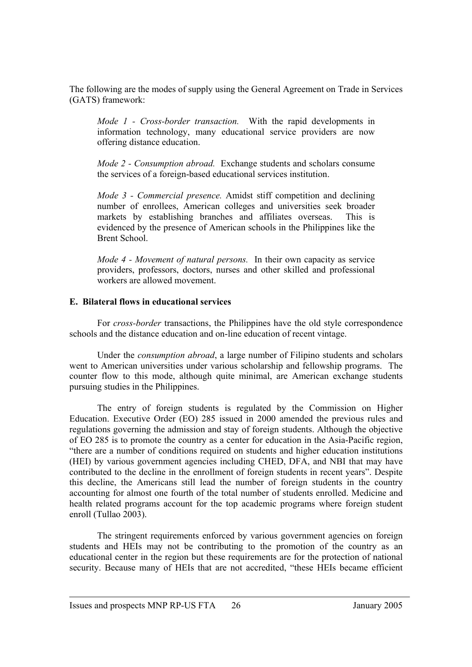The following are the modes of supply using the General Agreement on Trade in Services (GATS) framework:

*Mode 1 - Cross-border transaction.* With the rapid developments in information technology, many educational service providers are now offering distance education.

*Mode 2 - Consumption abroad.* Exchange students and scholars consume the services of a foreign-based educational services institution.

*Mode 3 - Commercial presence.* Amidst stiff competition and declining number of enrollees, American colleges and universities seek broader markets by establishing branches and affiliates overseas. This is evidenced by the presence of American schools in the Philippines like the Brent School.

*Mode 4 - Movement of natural persons.* In their own capacity as service providers, professors, doctors, nurses and other skilled and professional workers are allowed movement.

## **E. Bilateral flows in educational services**

For *cross-border* transactions, the Philippines have the old style correspondence schools and the distance education and on-line education of recent vintage.

Under the *consumption abroad*, a large number of Filipino students and scholars went to American universities under various scholarship and fellowship programs. The counter flow to this mode, although quite minimal, are American exchange students pursuing studies in the Philippines.

The entry of foreign students is regulated by the Commission on Higher Education. Executive Order (EO) 285 issued in 2000 amended the previous rules and regulations governing the admission and stay of foreign students. Although the objective of EO 285 is to promote the country as a center for education in the Asia-Pacific region, "there are a number of conditions required on students and higher education institutions (HEI) by various government agencies including CHED, DFA, and NBI that may have contributed to the decline in the enrollment of foreign students in recent years". Despite this decline, the Americans still lead the number of foreign students in the country accounting for almost one fourth of the total number of students enrolled. Medicine and health related programs account for the top academic programs where foreign student enroll (Tullao 2003).

The stringent requirements enforced by various government agencies on foreign students and HEIs may not be contributing to the promotion of the country as an educational center in the region but these requirements are for the protection of national security. Because many of HEIs that are not accredited, "these HEIs became efficient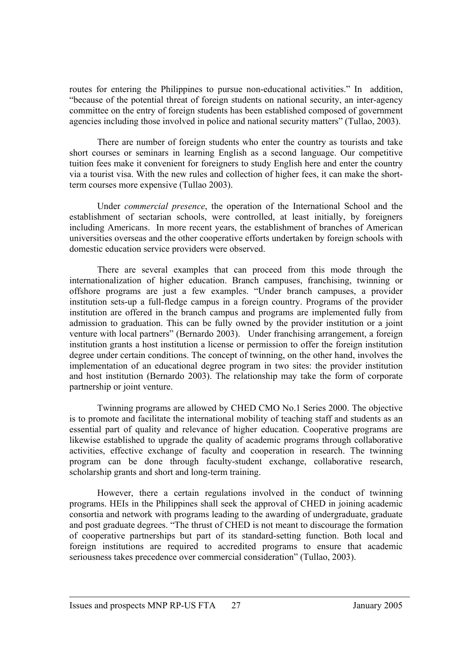routes for entering the Philippines to pursue non-educational activities." In addition, "because of the potential threat of foreign students on national security, an inter-agency committee on the entry of foreign students has been established composed of government agencies including those involved in police and national security matters" (Tullao, 2003).

There are number of foreign students who enter the country as tourists and take short courses or seminars in learning English as a second language. Our competitive tuition fees make it convenient for foreigners to study English here and enter the country via a tourist visa. With the new rules and collection of higher fees, it can make the shortterm courses more expensive (Tullao 2003).

Under *commercial presence*, the operation of the International School and the establishment of sectarian schools, were controlled, at least initially, by foreigners including Americans. In more recent years, the establishment of branches of American universities overseas and the other cooperative efforts undertaken by foreign schools with domestic education service providers were observed.

 There are several examples that can proceed from this mode through the internationalization of higher education. Branch campuses, franchising, twinning or offshore programs are just a few examples. "Under branch campuses, a provider institution sets-up a full-fledge campus in a foreign country. Programs of the provider institution are offered in the branch campus and programs are implemented fully from admission to graduation. This can be fully owned by the provider institution or a joint venture with local partners" (Bernardo 2003). Under franchising arrangement, a foreign institution grants a host institution a license or permission to offer the foreign institution degree under certain conditions. The concept of twinning, on the other hand, involves the implementation of an educational degree program in two sites: the provider institution and host institution (Bernardo 2003). The relationship may take the form of corporate partnership or joint venture.

 Twinning programs are allowed by CHED CMO No.1 Series 2000. The objective is to promote and facilitate the international mobility of teaching staff and students as an essential part of quality and relevance of higher education. Cooperative programs are likewise established to upgrade the quality of academic programs through collaborative activities, effective exchange of faculty and cooperation in research. The twinning program can be done through faculty-student exchange, collaborative research, scholarship grants and short and long-term training.

 However, there a certain regulations involved in the conduct of twinning programs. HEIs in the Philippines shall seek the approval of CHED in joining academic consortia and network with programs leading to the awarding of undergraduate, graduate and post graduate degrees. "The thrust of CHED is not meant to discourage the formation of cooperative partnerships but part of its standard-setting function. Both local and foreign institutions are required to accredited programs to ensure that academic seriousness takes precedence over commercial consideration" (Tullao, 2003).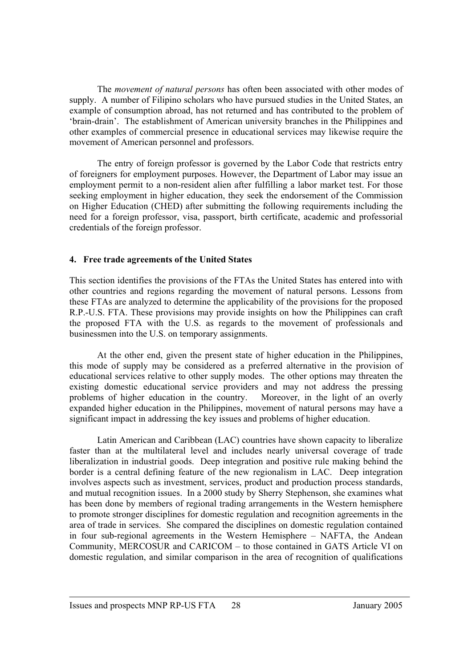The *movement of natural persons* has often been associated with other modes of supply. A number of Filipino scholars who have pursued studies in the United States, an example of consumption abroad, has not returned and has contributed to the problem of 'brain-drain'. The establishment of American university branches in the Philippines and other examples of commercial presence in educational services may likewise require the movement of American personnel and professors.

The entry of foreign professor is governed by the Labor Code that restricts entry of foreigners for employment purposes. However, the Department of Labor may issue an employment permit to a non-resident alien after fulfilling a labor market test. For those seeking employment in higher education, they seek the endorsement of the Commission on Higher Education (CHED) after submitting the following requirements including the need for a foreign professor, visa, passport, birth certificate, academic and professorial credentials of the foreign professor.

## **4. Free trade agreements of the United States**

This section identifies the provisions of the FTAs the United States has entered into with other countries and regions regarding the movement of natural persons. Lessons from these FTAs are analyzed to determine the applicability of the provisions for the proposed R.P.-U.S. FTA. These provisions may provide insights on how the Philippines can craft the proposed FTA with the U.S. as regards to the movement of professionals and businessmen into the U.S. on temporary assignments.

At the other end, given the present state of higher education in the Philippines, this mode of supply may be considered as a preferred alternative in the provision of educational services relative to other supply modes. The other options may threaten the existing domestic educational service providers and may not address the pressing problems of higher education in the country. Moreover, in the light of an overly expanded higher education in the Philippines, movement of natural persons may have a significant impact in addressing the key issues and problems of higher education.

Latin American and Caribbean (LAC) countries have shown capacity to liberalize faster than at the multilateral level and includes nearly universal coverage of trade liberalization in industrial goods. Deep integration and positive rule making behind the border is a central defining feature of the new regionalism in LAC. Deep integration involves aspects such as investment, services, product and production process standards, and mutual recognition issues. In a 2000 study by Sherry Stephenson, she examines what has been done by members of regional trading arrangements in the Western hemisphere to promote stronger disciplines for domestic regulation and recognition agreements in the area of trade in services. She compared the disciplines on domestic regulation contained in four sub-regional agreements in the Western Hemisphere – NAFTA, the Andean Community, MERCOSUR and CARICOM – to those contained in GATS Article VI on domestic regulation, and similar comparison in the area of recognition of qualifications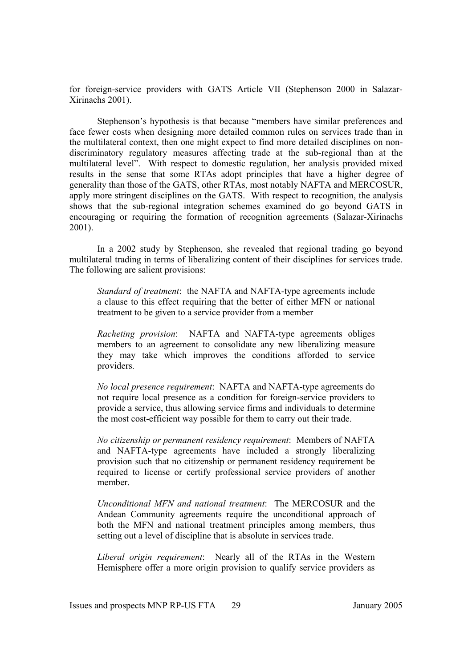for foreign-service providers with GATS Article VII (Stephenson 2000 in Salazar-Xirinachs 2001).

Stephenson's hypothesis is that because "members have similar preferences and face fewer costs when designing more detailed common rules on services trade than in the multilateral context, then one might expect to find more detailed disciplines on nondiscriminatory regulatory measures affecting trade at the sub-regional than at the multilateral level". With respect to domestic regulation, her analysis provided mixed results in the sense that some RTAs adopt principles that have a higher degree of generality than those of the GATS, other RTAs, most notably NAFTA and MERCOSUR, apply more stringent disciplines on the GATS. With respect to recognition, the analysis shows that the sub-regional integration schemes examined do go beyond GATS in encouraging or requiring the formation of recognition agreements (Salazar-Xirinachs 2001).

In a 2002 study by Stephenson, she revealed that regional trading go beyond multilateral trading in terms of liberalizing content of their disciplines for services trade. The following are salient provisions:

*Standard of treatment*: the NAFTA and NAFTA-type agreements include a clause to this effect requiring that the better of either MFN or national treatment to be given to a service provider from a member

*Racheting provision*: NAFTA and NAFTA-type agreements obliges members to an agreement to consolidate any new liberalizing measure they may take which improves the conditions afforded to service providers.

*No local presence requirement*: NAFTA and NAFTA-type agreements do not require local presence as a condition for foreign-service providers to provide a service, thus allowing service firms and individuals to determine the most cost-efficient way possible for them to carry out their trade.

*No citizenship or permanent residency requirement*: Members of NAFTA and NAFTA-type agreements have included a strongly liberalizing provision such that no citizenship or permanent residency requirement be required to license or certify professional service providers of another member.

*Unconditional MFN and national treatment*: The MERCOSUR and the Andean Community agreements require the unconditional approach of both the MFN and national treatment principles among members, thus setting out a level of discipline that is absolute in services trade.

*Liberal origin requirement*: Nearly all of the RTAs in the Western Hemisphere offer a more origin provision to qualify service providers as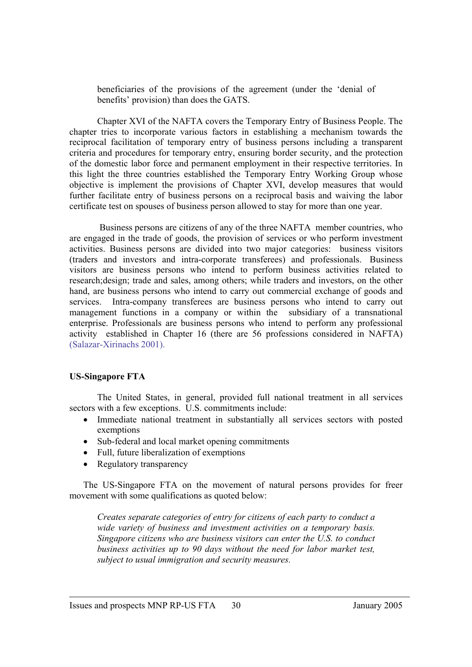beneficiaries of the provisions of the agreement (under the 'denial of benefits' provision) than does the GATS.

Chapter XVI of the NAFTA covers the Temporary Entry of Business People. The chapter tries to incorporate various factors in establishing a mechanism towards the reciprocal facilitation of temporary entry of business persons including a transparent criteria and procedures for temporary entry, ensuring border security, and the protection of the domestic labor force and permanent employment in their respective territories. In this light the three countries established the Temporary Entry Working Group whose objective is implement the provisions of Chapter XVI, develop measures that would further facilitate entry of business persons on a reciprocal basis and waiving the labor certificate test on spouses of business person allowed to stay for more than one year.

 Business persons are citizens of any of the three NAFTA member countries, who are engaged in the trade of goods, the provision of services or who perform investment activities. Business persons are divided into two major categories: business visitors (traders and investors and intra-corporate transferees) and professionals. Business visitors are business persons who intend to perform business activities related to research;design; trade and sales, among others; while traders and investors, on the other hand, are business persons who intend to carry out commercial exchange of goods and services. Intra-company transferees are business persons who intend to carry out management functions in a company or within the subsidiary of a transnational enterprise. Professionals are business persons who intend to perform any professional activity established in Chapter 16 (there are 56 professions considered in NAFTA) (Salazar-Xirinachs 2001).

## **US-Singapore FTA**

The United States, in general, provided full national treatment in all services sectors with a few exceptions. U.S. commitments include:

- Immediate national treatment in substantially all services sectors with posted exemptions
- Sub-federal and local market opening commitments
- Full, future liberalization of exemptions
- Regulatory transparency

The US-Singapore FTA on the movement of natural persons provides for freer movement with some qualifications as quoted below:

*Creates separate categories of entry for citizens of each party to conduct a wide variety of business and investment activities on a temporary basis. Singapore citizens who are business visitors can enter the U.S. to conduct business activities up to 90 days without the need for labor market test, subject to usual immigration and security measures.*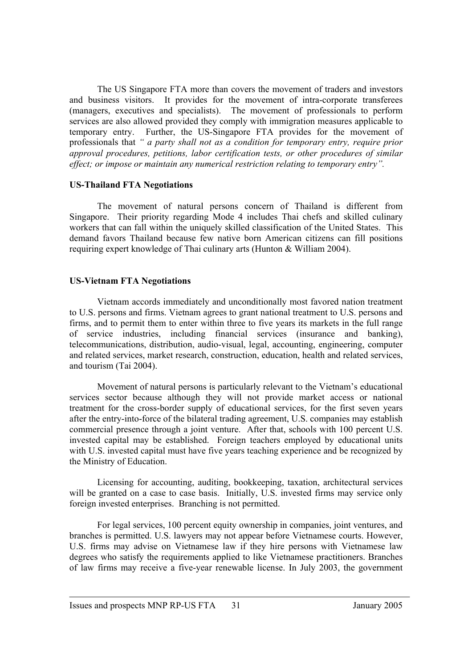The US Singapore FTA more than covers the movement of traders and investors and business visitors. It provides for the movement of intra-corporate transferees (managers, executives and specialists). The movement of professionals to perform services are also allowed provided they comply with immigration measures applicable to temporary entry. Further, the US-Singapore FTA provides for the movement of professionals that *" a party shall not as a condition for temporary entry, require prior approval procedures, petitions, labor certification tests, or other procedures of similar effect; or impose or maintain any numerical restriction relating to temporary entry".* 

#### **US-Thailand FTA Negotiations**

The movement of natural persons concern of Thailand is different from Singapore. Their priority regarding Mode 4 includes Thai chefs and skilled culinary workers that can fall within the uniquely skilled classification of the United States. This demand favors Thailand because few native born American citizens can fill positions requiring expert knowledge of Thai culinary arts (Hunton & William 2004).

## **US-Vietnam FTA Negotiations**

Vietnam accords immediately and unconditionally most favored nation treatment to U.S. persons and firms. Vietnam agrees to grant national treatment to U.S. persons and firms, and to permit them to enter within three to five years its markets in the full range of service industries, including financial services (insurance and banking), telecommunications, distribution, audio-visual, legal, accounting, engineering, computer and related services, market research, construction, education, health and related services, and tourism (Tai 2004).

Movement of natural persons is particularly relevant to the Vietnam's educational services sector because although they will not provide market access or national treatment for the cross-border supply of educational services, for the first seven years after the entry-into-force of the bilateral trading agreement, U.S. companies may establish commercial presence through a joint venture. After that, schools with 100 percent U.S. invested capital may be established. Foreign teachers employed by educational units with U.S. invested capital must have five years teaching experience and be recognized by the Ministry of Education.

Licensing for accounting, auditing, bookkeeping, taxation, architectural services will be granted on a case to case basis. Initially, U.S. invested firms may service only foreign invested enterprises. Branching is not permitted.

For legal services, 100 percent equity ownership in companies, joint ventures, and branches is permitted. U.S. lawyers may not appear before Vietnamese courts. However, U.S. firms may advise on Vietnamese law if they hire persons with Vietnamese law degrees who satisfy the requirements applied to like Vietnamese practitioners. Branches of law firms may receive a five-year renewable license. In July 2003, the government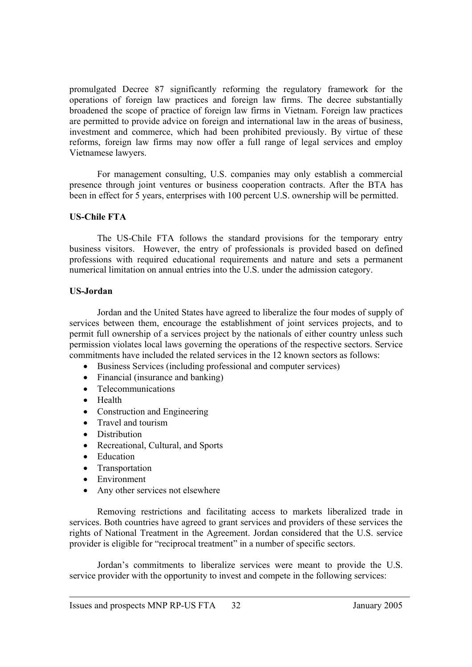promulgated Decree 87 significantly reforming the regulatory framework for the operations of foreign law practices and foreign law firms. The decree substantially broadened the scope of practice of foreign law firms in Vietnam. Foreign law practices are permitted to provide advice on foreign and international law in the areas of business, investment and commerce, which had been prohibited previously. By virtue of these reforms, foreign law firms may now offer a full range of legal services and employ Vietnamese lawyers.

For management consulting, U.S. companies may only establish a commercial presence through joint ventures or business cooperation contracts. After the BTA has been in effect for 5 years, enterprises with 100 percent U.S. ownership will be permitted.

## **US-Chile FTA**

The US-Chile FTA follows the standard provisions for the temporary entry business visitors. However, the entry of professionals is provided based on defined professions with required educational requirements and nature and sets a permanent numerical limitation on annual entries into the U.S. under the admission category.

## **US-Jordan**

Jordan and the United States have agreed to liberalize the four modes of supply of services between them, encourage the establishment of joint services projects, and to permit full ownership of a services project by the nationals of either country unless such permission violates local laws governing the operations of the respective sectors. Service commitments have included the related services in the 12 known sectors as follows:

- Business Services (including professional and computer services)
- Financial (insurance and banking)
- Telecommunications
- Health
- Construction and Engineering
- Travel and tourism
- Distribution
- Recreational, Cultural, and Sports
- Education
- Transportation
- Environment
- Any other services not elsewhere

Removing restrictions and facilitating access to markets liberalized trade in services. Both countries have agreed to grant services and providers of these services the rights of National Treatment in the Agreement. Jordan considered that the U.S. service provider is eligible for "reciprocal treatment" in a number of specific sectors.

Jordan's commitments to liberalize services were meant to provide the U.S. service provider with the opportunity to invest and compete in the following services: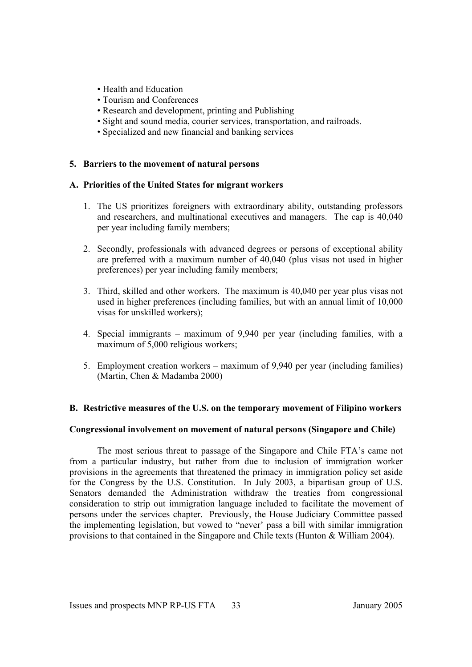- Health and Education
- Tourism and Conferences
- Research and development, printing and Publishing
- Sight and sound media, courier services, transportation, and railroads.
- Specialized and new financial and banking services

## **5. Barriers to the movement of natural persons**

## **A. Priorities of the United States for migrant workers**

- 1. The US prioritizes foreigners with extraordinary ability, outstanding professors and researchers, and multinational executives and managers. The cap is 40,040 per year including family members;
- 2. Secondly, professionals with advanced degrees or persons of exceptional ability are preferred with a maximum number of 40,040 (plus visas not used in higher preferences) per year including family members;
- 3. Third, skilled and other workers. The maximum is 40,040 per year plus visas not used in higher preferences (including families, but with an annual limit of 10,000 visas for unskilled workers);
- 4. Special immigrants maximum of 9,940 per year (including families, with a maximum of 5,000 religious workers;
- 5. Employment creation workers maximum of 9,940 per year (including families) (Martin, Chen & Madamba 2000)

## **B. Restrictive measures of the U.S. on the temporary movement of Filipino workers**

## **Congressional involvement on movement of natural persons (Singapore and Chile)**

The most serious threat to passage of the Singapore and Chile FTA's came not from a particular industry, but rather from due to inclusion of immigration worker provisions in the agreements that threatened the primacy in immigration policy set aside for the Congress by the U.S. Constitution. In July 2003, a bipartisan group of U.S. Senators demanded the Administration withdraw the treaties from congressional consideration to strip out immigration language included to facilitate the movement of persons under the services chapter. Previously, the House Judiciary Committee passed the implementing legislation, but vowed to "never' pass a bill with similar immigration provisions to that contained in the Singapore and Chile texts (Hunton & William 2004).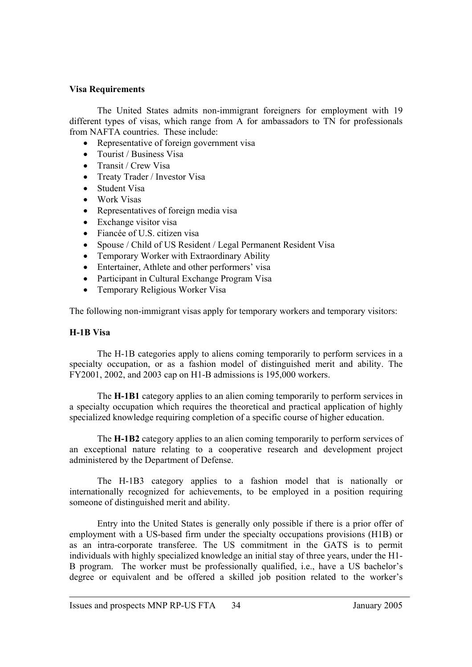## **Visa Requirements**

The United States admits non-immigrant foreigners for employment with 19 different types of visas, which range from A for ambassadors to TN for professionals from NAFTA countries. These include:

- Representative of foreign government visa
- Tourist / Business Visa
- Transit / Crew Visa
- Treaty Trader / Investor Visa
- Student Visa
- Work Visas
- Representatives of foreign media visa
- Exchange visitor visa
- Fiancée of U.S. citizen visa
- Spouse / Child of US Resident / Legal Permanent Resident Visa
- Temporary Worker with Extraordinary Ability
- Entertainer, Athlete and other performers' visa
- Participant in Cultural Exchange Program Visa
- Temporary Religious Worker Visa

The following non-immigrant visas apply for temporary workers and temporary visitors:

## **H-1B Visa**

The H-1B categories apply to aliens coming temporarily to perform services in a specialty occupation, or as a fashion model of distinguished merit and ability. The FY2001, 2002, and 2003 cap on H1-B admissions is 195,000 workers.

The **H-1B1** category applies to an alien coming temporarily to perform services in a specialty occupation which requires the theoretical and practical application of highly specialized knowledge requiring completion of a specific course of higher education.

The **H-1B2** category applies to an alien coming temporarily to perform services of an exceptional nature relating to a cooperative research and development project administered by the Department of Defense.

The H-1B3 category applies to a fashion model that is nationally or internationally recognized for achievements, to be employed in a position requiring someone of distinguished merit and ability.

Entry into the United States is generally only possible if there is a prior offer of employment with a US-based firm under the specialty occupations provisions (H1B) or as an intra-corporate transferee. The US commitment in the GATS is to permit individuals with highly specialized knowledge an initial stay of three years, under the H1- B program. The worker must be professionally qualified, i.e., have a US bachelor's degree or equivalent and be offered a skilled job position related to the worker's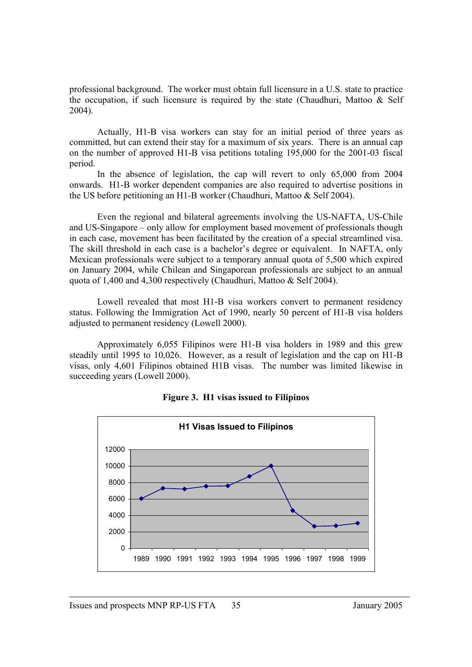professional background. The worker must obtain full licensure in a U.S. state to practice the occupation, if such licensure is required by the state (Chaudhuri, Mattoo  $\&$  Self 2004).

Actually, H1-B visa workers can stay for an initial period of three years as committed, but can extend their stay for a maximum of six years. There is an annual cap on the number of approved H1-B visa petitions totaling 195,000 for the 2001-03 fiscal period.

In the absence of legislation, the cap will revert to only 65,000 from 2004 onwards. H1-B worker dependent companies are also required to advertise positions in the US before petitioning an H1-B worker (Chaudhuri, Mattoo & Self 2004).

Even the regional and bilateral agreements involving the US-NAFTA, US-Chile and US-Singapore – only allow for employment based movement of professionals though in each case, movement has been facilitated by the creation of a special streamlined visa. The skill threshold in each case is a bachelor's degree or equivalent. In NAFTA, only Mexican professionals were subject to a temporary annual quota of 5,500 which expired on January 2004, while Chilean and Singaporean professionals are subject to an annual quota of 1,400 and 4,300 respectively (Chaudhuri, Mattoo & Self 2004).

Lowell revealed that most H1-B visa workers convert to permanent residency status. Following the Immigration Act of 1990, nearly 50 percent of H1-B visa holders adjusted to permanent residency (Lowell 2000).

Approximately 6,055 Filipinos were H1-B visa holders in 1989 and this grew steadily until 1995 to 10,026. However, as a result of legislation and the cap on H1-B visas, only 4,601 Filipinos obtained H1B visas. The number was limited likewise in succeeding years (Lowell 2000).



**Figure 3. H1 visas issued to Filipinos**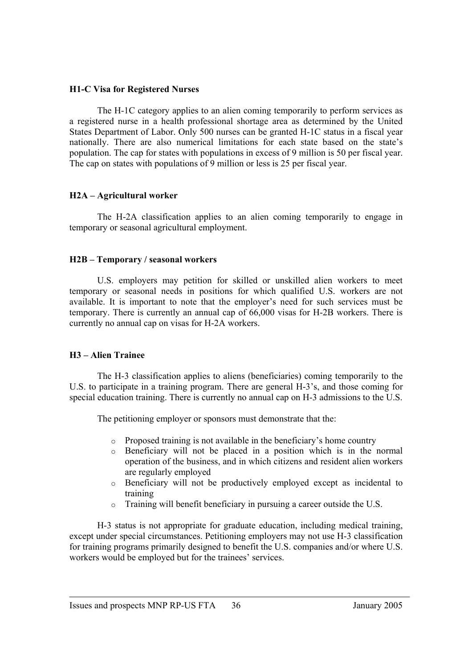## **H1-C Visa for Registered Nurses**

The H-1C category applies to an alien coming temporarily to perform services as a registered nurse in a health professional shortage area as determined by the United States Department of Labor. Only 500 nurses can be granted H-1C status in a fiscal year nationally. There are also numerical limitations for each state based on the state's population. The cap for states with populations in excess of 9 million is 50 per fiscal year. The cap on states with populations of 9 million or less is 25 per fiscal year.

## **H2A – Agricultural worker**

The H-2A classification applies to an alien coming temporarily to engage in temporary or seasonal agricultural employment.

## **H2B – Temporary / seasonal workers**

U.S. employers may petition for skilled or unskilled alien workers to meet temporary or seasonal needs in positions for which qualified U.S. workers are not available. It is important to note that the employer's need for such services must be temporary. There is currently an annual cap of 66,000 visas for H-2B workers. There is currently no annual cap on visas for H-2A workers.

## **H3 – Alien Trainee**

The H-3 classification applies to aliens (beneficiaries) coming temporarily to the U.S. to participate in a training program. There are general H-3's, and those coming for special education training. There is currently no annual cap on H-3 admissions to the U.S.

The petitioning employer or sponsors must demonstrate that the:

- o Proposed training is not available in the beneficiary's home country
- o Beneficiary will not be placed in a position which is in the normal operation of the business, and in which citizens and resident alien workers are regularly employed
- o Beneficiary will not be productively employed except as incidental to training
- o Training will benefit beneficiary in pursuing a career outside the U.S.

H-3 status is not appropriate for graduate education, including medical training, except under special circumstances. Petitioning employers may not use H-3 classification for training programs primarily designed to benefit the U.S. companies and/or where U.S. workers would be employed but for the trainees' services.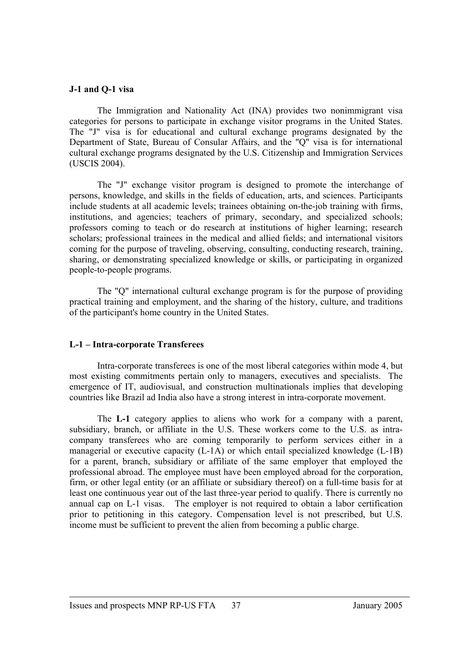#### **J-1 and Q-1 visa**

The Immigration and Nationality Act (INA) provides two nonimmigrant visa categories for persons to participate in exchange visitor programs in the United States. The "J" visa is for educational and cultural exchange programs designated by the Department of State, Bureau of Consular Affairs, and the "Q" visa is for international cultural exchange programs designated by the U.S. Citizenship and Immigration Services (USCIS 2004).

The "J" exchange visitor program is designed to promote the interchange of persons, knowledge, and skills in the fields of education, arts, and sciences. Participants include students at all academic levels; trainees obtaining on-the-job training with firms, institutions, and agencies; teachers of primary, secondary, and specialized schools; professors coming to teach or do research at institutions of higher learning; research scholars; professional trainees in the medical and allied fields; and international visitors coming for the purpose of traveling, observing, consulting, conducting research, training, sharing, or demonstrating specialized knowledge or skills, or participating in organized people-to-people programs.

The "Q" international cultural exchange program is for the purpose of providing practical training and employment, and the sharing of the history, culture, and traditions of the participant's home country in the United States.

## **L-1 – Intra-corporate Transferees**

Intra-corporate transferees is one of the most liberal categories within mode 4, but most existing commitments pertain only to managers, executives and specialists. The emergence of IT, audiovisual, and construction multinationals implies that developing countries like Brazil ad India also have a strong interest in intra-corporate movement.

The **L-1** category applies to aliens who work for a company with a parent, subsidiary, branch, or affiliate in the U.S. These workers come to the U.S. as intracompany transferees who are coming temporarily to perform services either in a managerial or executive capacity (L-1A) or which entail specialized knowledge (L-1B) for a parent, branch, subsidiary or affiliate of the same employer that employed the professional abroad. The employee must have been employed abroad for the corporation, firm, or other legal entity (or an affiliate or subsidiary thereof) on a full-time basis for at least one continuous year out of the last three-year period to qualify. There is currently no annual cap on L-1 visas. The employer is not required to obtain a labor certification prior to petitioning in this category. Compensation level is not prescribed, but U.S. income must be sufficient to prevent the alien from becoming a public charge.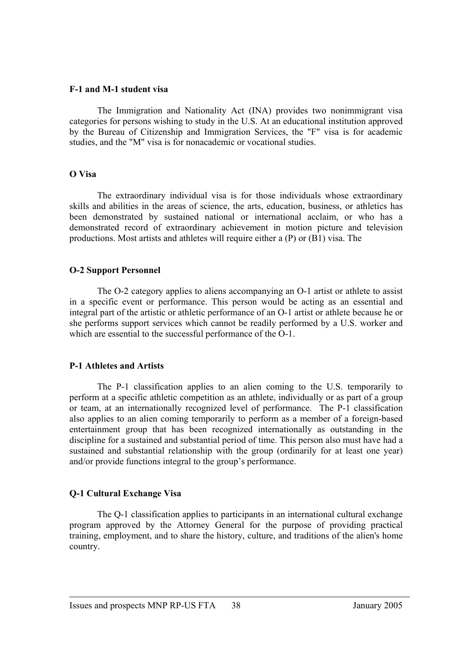#### **F-1 and M-1 student visa**

The Immigration and Nationality Act (INA) provides two nonimmigrant visa categories for persons wishing to study in the U.S. At an educational institution approved by the Bureau of Citizenship and Immigration Services, the "F" visa is for academic studies, and the "M" visa is for nonacademic or vocational studies.

## **O Visa**

The extraordinary individual visa is for those individuals whose extraordinary skills and abilities in the areas of science, the arts, education, business, or athletics has been demonstrated by sustained national or international acclaim, or who has a demonstrated record of extraordinary achievement in motion picture and television productions. Most artists and athletes will require either a (P) or (B1) visa. The

## **O-2 Support Personnel**

The O-2 category applies to aliens accompanying an O-1 artist or athlete to assist in a specific event or performance. This person would be acting as an essential and integral part of the artistic or athletic performance of an O-1 artist or athlete because he or she performs support services which cannot be readily performed by a U.S. worker and which are essential to the successful performance of the O-1.

## **P-1 Athletes and Artists**

The P-1 classification applies to an alien coming to the U.S. temporarily to perform at a specific athletic competition as an athlete, individually or as part of a group or team, at an internationally recognized level of performance. The P-1 classification also applies to an alien coming temporarily to perform as a member of a foreign-based entertainment group that has been recognized internationally as outstanding in the discipline for a sustained and substantial period of time. This person also must have had a sustained and substantial relationship with the group (ordinarily for at least one year) and/or provide functions integral to the group's performance.

## **Q-1 Cultural Exchange Visa**

The Q-1 classification applies to participants in an international cultural exchange program approved by the Attorney General for the purpose of providing practical training, employment, and to share the history, culture, and traditions of the alien's home country.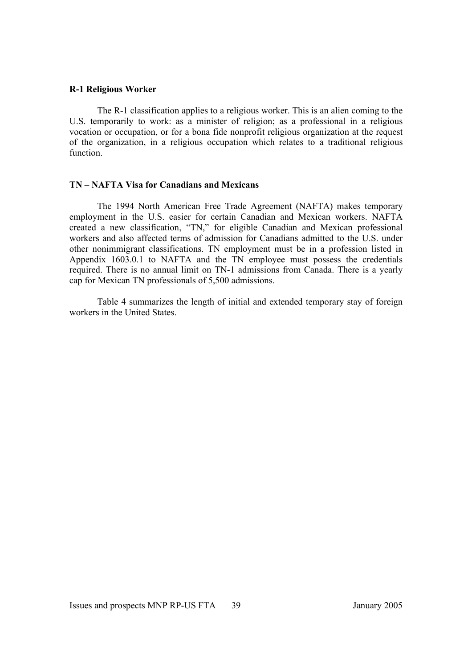## **R-1 Religious Worker**

The R-1 classification applies to a religious worker. This is an alien coming to the U.S. temporarily to work: as a minister of religion; as a professional in a religious vocation or occupation, or for a bona fide nonprofit religious organization at the request of the organization, in a religious occupation which relates to a traditional religious function.

## **TN – NAFTA Visa for Canadians and Mexicans**

The 1994 North American Free Trade Agreement (NAFTA) makes temporary employment in the U.S. easier for certain Canadian and Mexican workers. NAFTA created a new classification, "TN," for eligible Canadian and Mexican professional workers and also affected terms of admission for Canadians admitted to the U.S. under other nonimmigrant classifications. TN employment must be in a profession listed in Appendix 1603.0.1 to NAFTA and the TN employee must possess the credentials required. There is no annual limit on TN-1 admissions from Canada. There is a yearly cap for Mexican TN professionals of 5,500 admissions.

Table 4 summarizes the length of initial and extended temporary stay of foreign workers in the United States.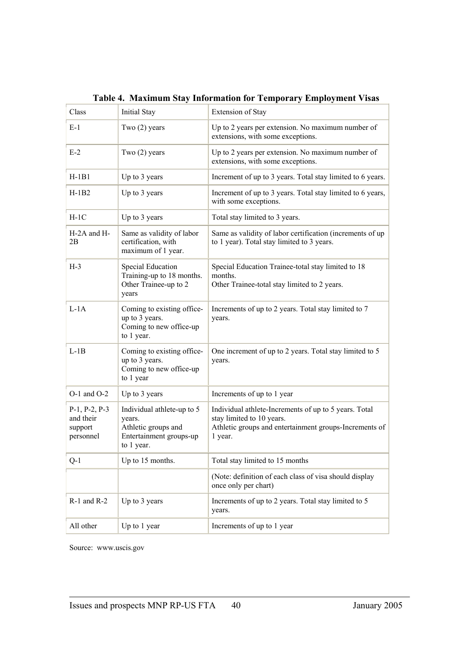| Class                                                      | <b>Initial Stay</b>                                                                                  | Extension of Stay                                                                                                                                       |
|------------------------------------------------------------|------------------------------------------------------------------------------------------------------|---------------------------------------------------------------------------------------------------------------------------------------------------------|
| $E-1$                                                      | Two $(2)$ years                                                                                      | Up to 2 years per extension. No maximum number of<br>extensions, with some exceptions.                                                                  |
| $E-2$                                                      | Two (2) years                                                                                        | Up to 2 years per extension. No maximum number of<br>extensions, with some exceptions.                                                                  |
| $H-1B1$                                                    | Up to 3 years                                                                                        | Increment of up to 3 years. Total stay limited to 6 years.                                                                                              |
| $H-1B2$                                                    | Up to 3 years                                                                                        | Increment of up to 3 years. Total stay limited to 6 years,<br>with some exceptions.                                                                     |
| $H-1C$                                                     | Up to 3 years                                                                                        | Total stay limited to 3 years.                                                                                                                          |
| H-2A and H-<br>2B                                          | Same as validity of labor<br>certification, with<br>maximum of 1 year.                               | Same as validity of labor certification (increments of up<br>to 1 year). Total stay limited to 3 years.                                                 |
| $H-3$                                                      | Special Education<br>Training-up to 18 months.<br>Other Trainee-up to 2<br>years                     | Special Education Trainee-total stay limited to 18<br>months.<br>Other Trainee-total stay limited to 2 years.                                           |
| $L-1A$                                                     | Coming to existing office-<br>up to 3 years.<br>Coming to new office-up<br>to 1 year.                | Increments of up to 2 years. Total stay limited to 7<br>years.                                                                                          |
| $L-1B$                                                     | Coming to existing office-<br>up to 3 years.<br>Coming to new office-up<br>to 1 year                 | One increment of up to 2 years. Total stay limited to 5<br>years.                                                                                       |
| $O-1$ and $O-2$                                            | Up to 3 years                                                                                        | Increments of up to 1 year                                                                                                                              |
| $P-1$ , $P-2$ , $P-3$<br>and their<br>support<br>personnel | Individual athlete-up to 5<br>years.<br>Athletic groups and<br>Entertainment groups-up<br>to 1 year. | Individual athlete-Increments of up to 5 years. Total<br>stay limited to 10 years.<br>Athletic groups and entertainment groups-Increments of<br>1 year. |
| $Q-1$                                                      | Up to 15 months.                                                                                     | Total stay limited to 15 months                                                                                                                         |
|                                                            |                                                                                                      | (Note: definition of each class of visa should display<br>once only per chart)                                                                          |
| $R-1$ and $R-2$                                            | Up to 3 years                                                                                        | Increments of up to 2 years. Total stay limited to 5<br>years.                                                                                          |
| All other                                                  | Up to 1 year                                                                                         | Increments of up to 1 year                                                                                                                              |

# **Table 4. Maximum Stay Information for Temporary Employment Visas**

Source: www.uscis.gov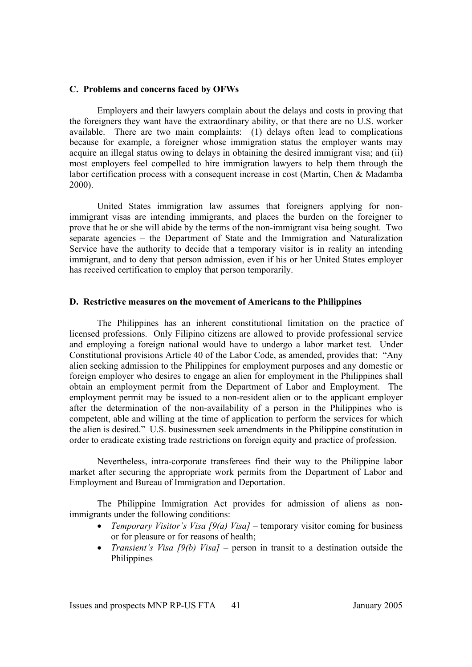#### **C. Problems and concerns faced by OFWs**

Employers and their lawyers complain about the delays and costs in proving that the foreigners they want have the extraordinary ability, or that there are no U.S. worker available. There are two main complaints: (1) delays often lead to complications because for example, a foreigner whose immigration status the employer wants may acquire an illegal status owing to delays in obtaining the desired immigrant visa; and (ii) most employers feel compelled to hire immigration lawyers to help them through the labor certification process with a consequent increase in cost (Martin, Chen & Madamba 2000).

 United States immigration law assumes that foreigners applying for nonimmigrant visas are intending immigrants, and places the burden on the foreigner to prove that he or she will abide by the terms of the non-immigrant visa being sought. Two separate agencies – the Department of State and the Immigration and Naturalization Service have the authority to decide that a temporary visitor is in reality an intending immigrant, and to deny that person admission, even if his or her United States employer has received certification to employ that person temporarily.

## **D. Restrictive measures on the movement of Americans to the Philippines**

The Philippines has an inherent constitutional limitation on the practice of licensed professions. Only Filipino citizens are allowed to provide professional service and employing a foreign national would have to undergo a labor market test. Under Constitutional provisions Article 40 of the Labor Code, as amended, provides that: "Any alien seeking admission to the Philippines for employment purposes and any domestic or foreign employer who desires to engage an alien for employment in the Philippines shall obtain an employment permit from the Department of Labor and Employment. The employment permit may be issued to a non-resident alien or to the applicant employer after the determination of the non-availability of a person in the Philippines who is competent, able and willing at the time of application to perform the services for which the alien is desired." U.S. businessmen seek amendments in the Philippine constitution in order to eradicate existing trade restrictions on foreign equity and practice of profession.

Nevertheless, intra-corporate transferees find their way to the Philippine labor market after securing the appropriate work permits from the Department of Labor and Employment and Bureau of Immigration and Deportation.

The Philippine Immigration Act provides for admission of aliens as nonimmigrants under the following conditions:

- *Temporary Visitor's Visa [9(a) Visa]* temporary visitor coming for business or for pleasure or for reasons of health;
- *Transient's Visa [9(b) Visa]* person in transit to a destination outside the Philippines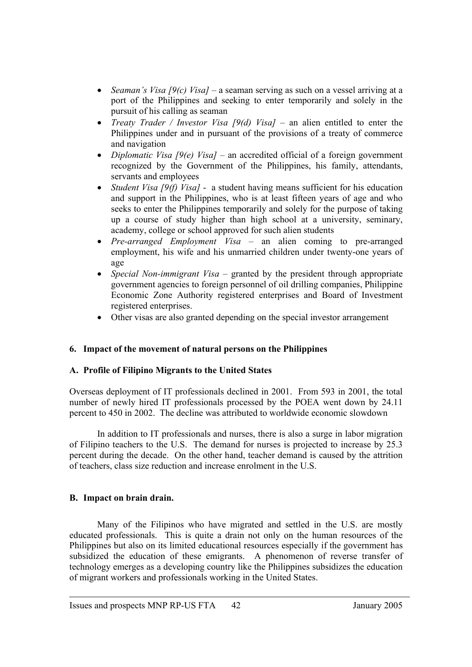- *Seaman's Visa [9(c) Visa]* a seaman serving as such on a vessel arriving at a port of the Philippines and seeking to enter temporarily and solely in the pursuit of his calling as seaman
- *Treaty Trader / Investor Visa [9(d) Visa]* an alien entitled to enter the Philippines under and in pursuant of the provisions of a treaty of commerce and navigation
- *Diplomatic Visa [9(e) Visa]* an accredited official of a foreign government recognized by the Government of the Philippines, his family, attendants, servants and employees
- *Student Visa [9(f) Visa]* a student having means sufficient for his education and support in the Philippines, who is at least fifteen years of age and who seeks to enter the Philippines temporarily and solely for the purpose of taking up a course of study higher than high school at a university, seminary, academy, college or school approved for such alien students
- *Pre-arranged Employment Visa* an alien coming to pre-arranged employment, his wife and his unmarried children under twenty-one years of age
- *Special Non-immigrant Visa* granted by the president through appropriate government agencies to foreign personnel of oil drilling companies, Philippine Economic Zone Authority registered enterprises and Board of Investment registered enterprises.
- Other visas are also granted depending on the special investor arrangement

## **6. Impact of the movement of natural persons on the Philippines**

## **A. Profile of Filipino Migrants to the United States**

Overseas deployment of IT professionals declined in 2001. From 593 in 2001, the total number of newly hired IT professionals processed by the POEA went down by 24.11 percent to 450 in 2002. The decline was attributed to worldwide economic slowdown

In addition to IT professionals and nurses, there is also a surge in labor migration of Filipino teachers to the U.S. The demand for nurses is projected to increase by 25.3 percent during the decade. On the other hand, teacher demand is caused by the attrition of teachers, class size reduction and increase enrolment in the U.S.

## **B. Impact on brain drain.**

Many of the Filipinos who have migrated and settled in the U.S. are mostly educated professionals. This is quite a drain not only on the human resources of the Philippines but also on its limited educational resources especially if the government has subsidized the education of these emigrants. A phenomenon of reverse transfer of technology emerges as a developing country like the Philippines subsidizes the education of migrant workers and professionals working in the United States.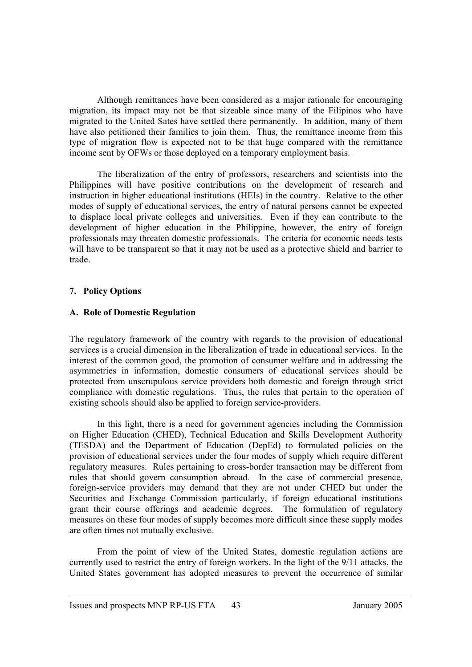Although remittances have been considered as a major rationale for encouraging migration, its impact may not be that sizeable since many of the Filipinos who have migrated to the United Sates have settled there permanently. In addition, many of them have also petitioned their families to join them. Thus, the remittance income from this type of migration flow is expected not to be that huge compared with the remittance income sent by OFWs or those deployed on a temporary employment basis.

The liberalization of the entry of professors, researchers and scientists into the Philippines will have positive contributions on the development of research and instruction in higher educational institutions (HEIs) in the country. Relative to the other modes of supply of educational services, the entry of natural persons cannot be expected to displace local private colleges and universities. Even if they can contribute to the development of higher education in the Philippine, however, the entry of foreign professionals may threaten domestic professionals. The criteria for economic needs tests will have to be transparent so that it may not be used as a protective shield and barrier to trade.

## **7. Policy Options**

## **A. Role of Domestic Regulation**

The regulatory framework of the country with regards to the provision of educational services is a crucial dimension in the liberalization of trade in educational services. In the interest of the common good, the promotion of consumer welfare and in addressing the asymmetries in information, domestic consumers of educational services should be protected from unscrupulous service providers both domestic and foreign through strict compliance with domestic regulations. Thus, the rules that pertain to the operation of existing schools should also be applied to foreign service-providers.

In this light, there is a need for government agencies including the Commission on Higher Education (CHED), Technical Education and Skills Development Authority (TESDA) and the Department of Education (DepEd) to formulated policies on the provision of educational services under the four modes of supply which require different regulatory measures. Rules pertaining to cross-border transaction may be different from rules that should govern consumption abroad. In the case of commercial presence, foreign-service providers may demand that they are not under CHED but under the Securities and Exchange Commission particularly, if foreign educational institutions grant their course offerings and academic degrees. The formulation of regulatory measures on these four modes of supply becomes more difficult since these supply modes are often times not mutually exclusive.

From the point of view of the United States, domestic regulation actions are currently used to restrict the entry of foreign workers. In the light of the 9/11 attacks, the United States government has adopted measures to prevent the occurrence of similar

Issues and prospects MNP RP-US FTA 43 January 2005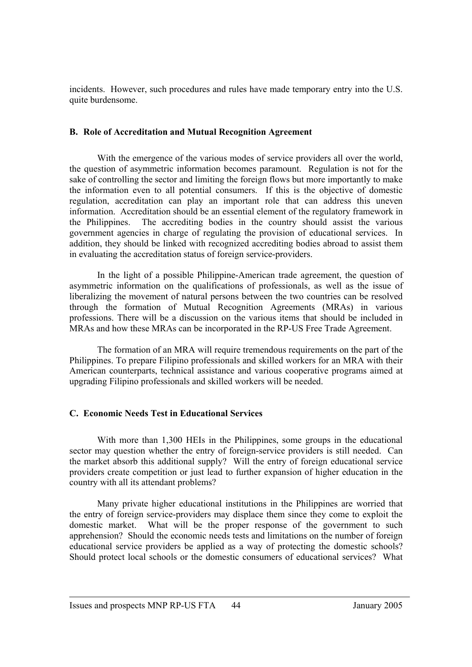incidents. However, such procedures and rules have made temporary entry into the U.S. quite burdensome.

## **B. Role of Accreditation and Mutual Recognition Agreement**

 With the emergence of the various modes of service providers all over the world, the question of asymmetric information becomes paramount. Regulation is not for the sake of controlling the sector and limiting the foreign flows but more importantly to make the information even to all potential consumers. If this is the objective of domestic regulation, accreditation can play an important role that can address this uneven information. Accreditation should be an essential element of the regulatory framework in the Philippines. The accrediting bodies in the country should assist the various government agencies in charge of regulating the provision of educational services. In addition, they should be linked with recognized accrediting bodies abroad to assist them in evaluating the accreditation status of foreign service-providers.

In the light of a possible Philippine-American trade agreement, the question of asymmetric information on the qualifications of professionals, as well as the issue of liberalizing the movement of natural persons between the two countries can be resolved through the formation of Mutual Recognition Agreements (MRAs) in various professions. There will be a discussion on the various items that should be included in MRAs and how these MRAs can be incorporated in the RP-US Free Trade Agreement.

The formation of an MRA will require tremendous requirements on the part of the Philippines. To prepare Filipino professionals and skilled workers for an MRA with their American counterparts, technical assistance and various cooperative programs aimed at upgrading Filipino professionals and skilled workers will be needed.

## **C. Economic Needs Test in Educational Services**

With more than 1,300 HEIs in the Philippines, some groups in the educational sector may question whether the entry of foreign-service providers is still needed. Can the market absorb this additional supply? Will the entry of foreign educational service providers create competition or just lead to further expansion of higher education in the country with all its attendant problems?

Many private higher educational institutions in the Philippines are worried that the entry of foreign service-providers may displace them since they come to exploit the domestic market. What will be the proper response of the government to such apprehension? Should the economic needs tests and limitations on the number of foreign educational service providers be applied as a way of protecting the domestic schools? Should protect local schools or the domestic consumers of educational services? What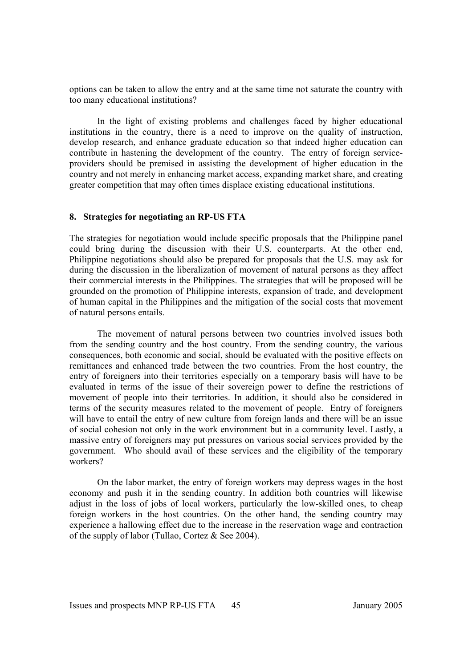options can be taken to allow the entry and at the same time not saturate the country with too many educational institutions?

In the light of existing problems and challenges faced by higher educational institutions in the country, there is a need to improve on the quality of instruction, develop research, and enhance graduate education so that indeed higher education can contribute in hastening the development of the country. The entry of foreign serviceproviders should be premised in assisting the development of higher education in the country and not merely in enhancing market access, expanding market share, and creating greater competition that may often times displace existing educational institutions.

#### **8. Strategies for negotiating an RP-US FTA**

The strategies for negotiation would include specific proposals that the Philippine panel could bring during the discussion with their U.S. counterparts. At the other end, Philippine negotiations should also be prepared for proposals that the U.S. may ask for during the discussion in the liberalization of movement of natural persons as they affect their commercial interests in the Philippines. The strategies that will be proposed will be grounded on the promotion of Philippine interests, expansion of trade, and development of human capital in the Philippines and the mitigation of the social costs that movement of natural persons entails.

 The movement of natural persons between two countries involved issues both from the sending country and the host country. From the sending country, the various consequences, both economic and social, should be evaluated with the positive effects on remittances and enhanced trade between the two countries. From the host country, the entry of foreigners into their territories especially on a temporary basis will have to be evaluated in terms of the issue of their sovereign power to define the restrictions of movement of people into their territories. In addition, it should also be considered in terms of the security measures related to the movement of people. Entry of foreigners will have to entail the entry of new culture from foreign lands and there will be an issue of social cohesion not only in the work environment but in a community level. Lastly, a massive entry of foreigners may put pressures on various social services provided by the government. Who should avail of these services and the eligibility of the temporary workers?

 On the labor market, the entry of foreign workers may depress wages in the host economy and push it in the sending country. In addition both countries will likewise adjust in the loss of jobs of local workers, particularly the low-skilled ones, to cheap foreign workers in the host countries. On the other hand, the sending country may experience a hallowing effect due to the increase in the reservation wage and contraction of the supply of labor (Tullao, Cortez & See 2004).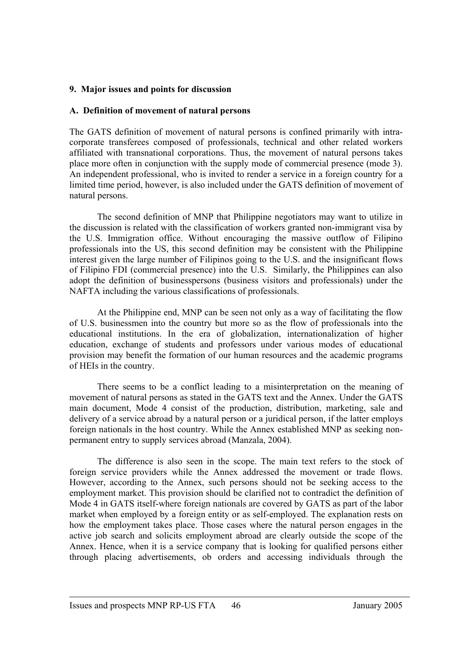## **9. Major issues and points for discussion**

## **A. Definition of movement of natural persons**

The GATS definition of movement of natural persons is confined primarily with intracorporate transferees composed of professionals, technical and other related workers affiliated with transnational corporations. Thus, the movement of natural persons takes place more often in conjunction with the supply mode of commercial presence (mode 3). An independent professional, who is invited to render a service in a foreign country for a limited time period, however, is also included under the GATS definition of movement of natural persons.

The second definition of MNP that Philippine negotiators may want to utilize in the discussion is related with the classification of workers granted non-immigrant visa by the U.S. Immigration office. Without encouraging the massive outflow of Filipino professionals into the US, this second definition may be consistent with the Philippine interest given the large number of Filipinos going to the U.S. and the insignificant flows of Filipino FDI (commercial presence) into the U.S. Similarly, the Philippines can also adopt the definition of businesspersons (business visitors and professionals) under the NAFTA including the various classifications of professionals.

At the Philippine end, MNP can be seen not only as a way of facilitating the flow of U.S. businessmen into the country but more so as the flow of professionals into the educational institutions. In the era of globalization, internationalization of higher education, exchange of students and professors under various modes of educational provision may benefit the formation of our human resources and the academic programs of HEIs in the country.

There seems to be a conflict leading to a misinterpretation on the meaning of movement of natural persons as stated in the GATS text and the Annex. Under the GATS main document, Mode 4 consist of the production, distribution, marketing, sale and delivery of a service abroad by a natural person or a juridical person, if the latter employs foreign nationals in the host country. While the Annex established MNP as seeking nonpermanent entry to supply services abroad (Manzala, 2004).

The difference is also seen in the scope. The main text refers to the stock of foreign service providers while the Annex addressed the movement or trade flows. However, according to the Annex, such persons should not be seeking access to the employment market. This provision should be clarified not to contradict the definition of Mode 4 in GATS itself-where foreign nationals are covered by GATS as part of the labor market when employed by a foreign entity or as self-employed. The explanation rests on how the employment takes place. Those cases where the natural person engages in the active job search and solicits employment abroad are clearly outside the scope of the Annex. Hence, when it is a service company that is looking for qualified persons either through placing advertisements, ob orders and accessing individuals through the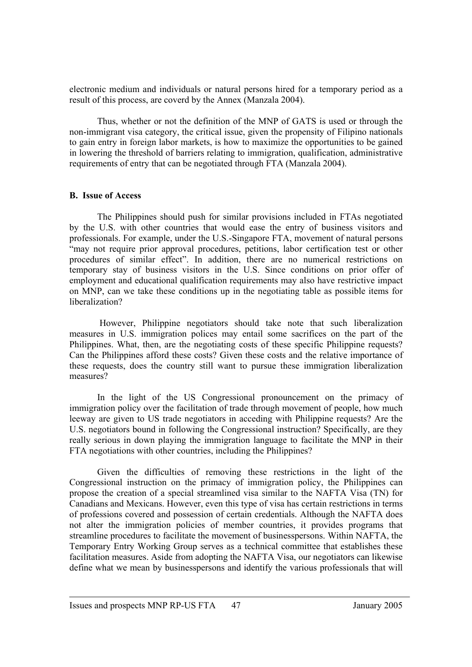electronic medium and individuals or natural persons hired for a temporary period as a result of this process, are coverd by the Annex (Manzala 2004).

Thus, whether or not the definition of the MNP of GATS is used or through the non-immigrant visa category, the critical issue, given the propensity of Filipino nationals to gain entry in foreign labor markets, is how to maximize the opportunities to be gained in lowering the threshold of barriers relating to immigration, qualification, administrative requirements of entry that can be negotiated through FTA (Manzala 2004).

## **B. Issue of Access**

The Philippines should push for similar provisions included in FTAs negotiated by the U.S. with other countries that would ease the entry of business visitors and professionals. For example, under the U.S.-Singapore FTA, movement of natural persons "may not require prior approval procedures, petitions, labor certification test or other procedures of similar effect". In addition, there are no numerical restrictions on temporary stay of business visitors in the U.S. Since conditions on prior offer of employment and educational qualification requirements may also have restrictive impact on MNP, can we take these conditions up in the negotiating table as possible items for liberalization?

 However, Philippine negotiators should take note that such liberalization measures in U.S. immigration polices may entail some sacrifices on the part of the Philippines. What, then, are the negotiating costs of these specific Philippine requests? Can the Philippines afford these costs? Given these costs and the relative importance of these requests, does the country still want to pursue these immigration liberalization measures?

In the light of the US Congressional pronouncement on the primacy of immigration policy over the facilitation of trade through movement of people, how much leeway are given to US trade negotiators in acceding with Philippine requests? Are the U.S. negotiators bound in following the Congressional instruction? Specifically, are they really serious in down playing the immigration language to facilitate the MNP in their FTA negotiations with other countries, including the Philippines?

Given the difficulties of removing these restrictions in the light of the Congressional instruction on the primacy of immigration policy, the Philippines can propose the creation of a special streamlined visa similar to the NAFTA Visa (TN) for Canadians and Mexicans. However, even this type of visa has certain restrictions in terms of professions covered and possession of certain credentials. Although the NAFTA does not alter the immigration policies of member countries, it provides programs that streamline procedures to facilitate the movement of businesspersons. Within NAFTA, the Temporary Entry Working Group serves as a technical committee that establishes these facilitation measures. Aside from adopting the NAFTA Visa, our negotiators can likewise define what we mean by businesspersons and identify the various professionals that will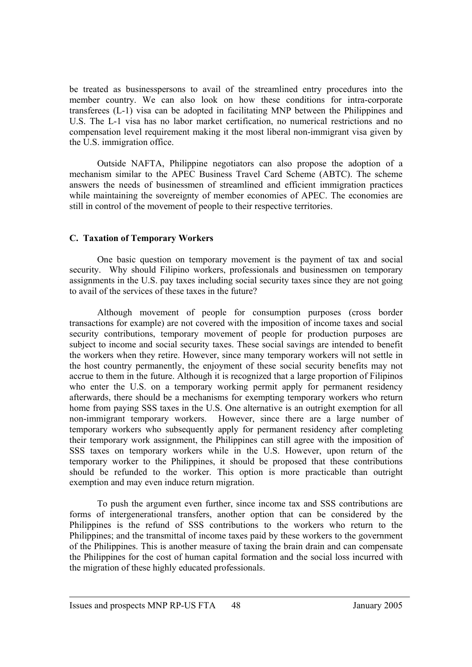be treated as businesspersons to avail of the streamlined entry procedures into the member country. We can also look on how these conditions for intra-corporate transferees (L-1) visa can be adopted in facilitating MNP between the Philippines and U.S. The L-1 visa has no labor market certification, no numerical restrictions and no compensation level requirement making it the most liberal non-immigrant visa given by the U.S. immigration office.

Outside NAFTA, Philippine negotiators can also propose the adoption of a mechanism similar to the APEC Business Travel Card Scheme (ABTC). The scheme answers the needs of businessmen of streamlined and efficient immigration practices while maintaining the sovereignty of member economies of APEC. The economies are still in control of the movement of people to their respective territories.

## **C. Taxation of Temporary Workers**

One basic question on temporary movement is the payment of tax and social security. Why should Filipino workers, professionals and businessmen on temporary assignments in the U.S. pay taxes including social security taxes since they are not going to avail of the services of these taxes in the future?

Although movement of people for consumption purposes (cross border transactions for example) are not covered with the imposition of income taxes and social security contributions, temporary movement of people for production purposes are subject to income and social security taxes. These social savings are intended to benefit the workers when they retire. However, since many temporary workers will not settle in the host country permanently, the enjoyment of these social security benefits may not accrue to them in the future. Although it is recognized that a large proportion of Filipinos who enter the U.S. on a temporary working permit apply for permanent residency afterwards, there should be a mechanisms for exempting temporary workers who return home from paying SSS taxes in the U.S. One alternative is an outright exemption for all non-immigrant temporary workers. However, since there are a large number of temporary workers who subsequently apply for permanent residency after completing their temporary work assignment, the Philippines can still agree with the imposition of SSS taxes on temporary workers while in the U.S. However, upon return of the temporary worker to the Philippines, it should be proposed that these contributions should be refunded to the worker. This option is more practicable than outright exemption and may even induce return migration.

To push the argument even further, since income tax and SSS contributions are forms of intergenerational transfers, another option that can be considered by the Philippines is the refund of SSS contributions to the workers who return to the Philippines; and the transmittal of income taxes paid by these workers to the government of the Philippines. This is another measure of taxing the brain drain and can compensate the Philippines for the cost of human capital formation and the social loss incurred with the migration of these highly educated professionals.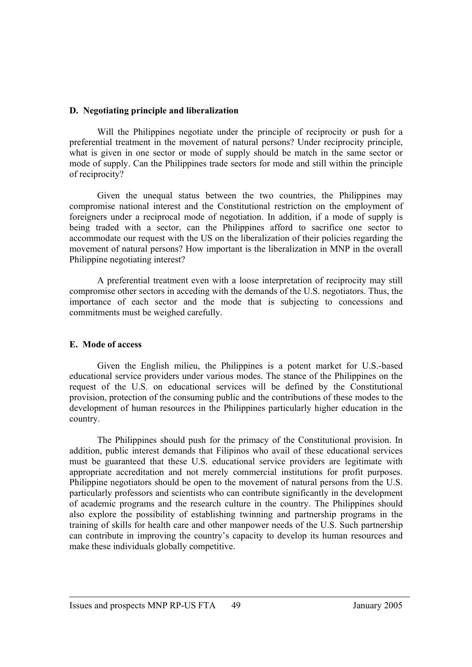## **D. Negotiating principle and liberalization**

Will the Philippines negotiate under the principle of reciprocity or push for a preferential treatment in the movement of natural persons? Under reciprocity principle, what is given in one sector or mode of supply should be match in the same sector or mode of supply. Can the Philippines trade sectors for mode and still within the principle of reciprocity?

Given the unequal status between the two countries, the Philippines may compromise national interest and the Constitutional restriction on the employment of foreigners under a reciprocal mode of negotiation. In addition, if a mode of supply is being traded with a sector, can the Philippines afford to sacrifice one sector to accommodate our request with the US on the liberalization of their policies regarding the movement of natural persons? How important is the liberalization in MNP in the overall Philippine negotiating interest?

A preferential treatment even with a loose interpretation of reciprocity may still compromise other sectors in acceding with the demands of the U.S. negotiators. Thus, the importance of each sector and the mode that is subjecting to concessions and commitments must be weighed carefully.

## **E. Mode of access**

Given the English milieu, the Philippines is a potent market for U.S.-based educational service providers under various modes. The stance of the Philippines on the request of the U.S. on educational services will be defined by the Constitutional provision, protection of the consuming public and the contributions of these modes to the development of human resources in the Philippines particularly higher education in the country.

The Philippines should push for the primacy of the Constitutional provision. In addition, public interest demands that Filipinos who avail of these educational services must be guaranteed that these U.S. educational service providers are legitimate with appropriate accreditation and not merely commercial institutions for profit purposes. Philippine negotiators should be open to the movement of natural persons from the U.S. particularly professors and scientists who can contribute significantly in the development of academic programs and the research culture in the country. The Philippines should also explore the possibility of establishing twinning and partnership programs in the training of skills for health care and other manpower needs of the U.S. Such partnership can contribute in improving the country's capacity to develop its human resources and make these individuals globally competitive.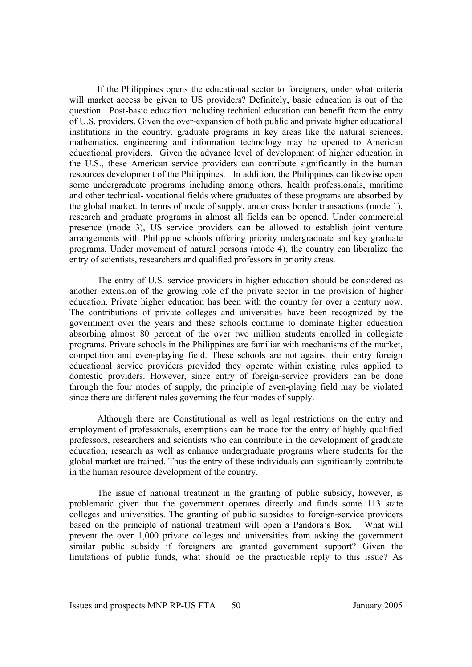If the Philippines opens the educational sector to foreigners, under what criteria will market access be given to US providers? Definitely, basic education is out of the question. Post-basic education including technical education can benefit from the entry of U.S. providers. Given the over-expansion of both public and private higher educational institutions in the country, graduate programs in key areas like the natural sciences, mathematics, engineering and information technology may be opened to American educational providers. Given the advance level of development of higher education in the U.S., these American service providers can contribute significantly in the human resources development of the Philippines. In addition, the Philippines can likewise open some undergraduate programs including among others, health professionals, maritime and other technical- vocational fields where graduates of these programs are absorbed by the global market. In terms of mode of supply, under cross border transactions (mode 1), research and graduate programs in almost all fields can be opened. Under commercial presence (mode 3), US service providers can be allowed to establish joint venture arrangements with Philippine schools offering priority undergraduate and key graduate programs. Under movement of natural persons (mode 4), the country can liberalize the entry of scientists, researchers and qualified professors in priority areas.

 The entry of U.S. service providers in higher education should be considered as another extension of the growing role of the private sector in the provision of higher education. Private higher education has been with the country for over a century now. The contributions of private colleges and universities have been recognized by the government over the years and these schools continue to dominate higher education absorbing almost 80 percent of the over two million students enrolled in collegiate programs. Private schools in the Philippines are familiar with mechanisms of the market, competition and even-playing field. These schools are not against their entry foreign educational service providers provided they operate within existing rules applied to domestic providers. However, since entry of foreign-service providers can be done through the four modes of supply, the principle of even-playing field may be violated since there are different rules governing the four modes of supply.

Although there are Constitutional as well as legal restrictions on the entry and employment of professionals, exemptions can be made for the entry of highly qualified professors, researchers and scientists who can contribute in the development of graduate education, research as well as enhance undergraduate programs where students for the global market are trained. Thus the entry of these individuals can significantly contribute in the human resource development of the country.

The issue of national treatment in the granting of public subsidy, however, is problematic given that the government operates directly and funds some 113 state colleges and universities. The granting of public subsidies to foreign-service providers based on the principle of national treatment will open a Pandora's Box. What will prevent the over 1,000 private colleges and universities from asking the government similar public subsidy if foreigners are granted government support? Given the limitations of public funds, what should be the practicable reply to this issue? As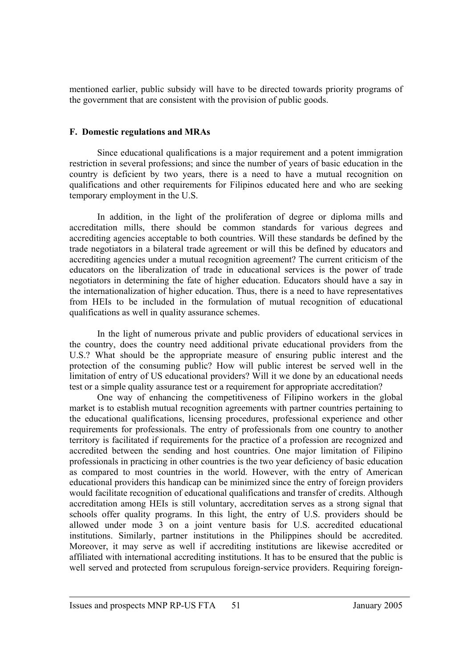mentioned earlier, public subsidy will have to be directed towards priority programs of the government that are consistent with the provision of public goods.

## **F. Domestic regulations and MRAs**

Since educational qualifications is a major requirement and a potent immigration restriction in several professions; and since the number of years of basic education in the country is deficient by two years, there is a need to have a mutual recognition on qualifications and other requirements for Filipinos educated here and who are seeking temporary employment in the U.S.

In addition, in the light of the proliferation of degree or diploma mills and accreditation mills, there should be common standards for various degrees and accrediting agencies acceptable to both countries. Will these standards be defined by the trade negotiators in a bilateral trade agreement or will this be defined by educators and accrediting agencies under a mutual recognition agreement? The current criticism of the educators on the liberalization of trade in educational services is the power of trade negotiators in determining the fate of higher education. Educators should have a say in the internationalization of higher education. Thus, there is a need to have representatives from HEIs to be included in the formulation of mutual recognition of educational qualifications as well in quality assurance schemes.

In the light of numerous private and public providers of educational services in the country, does the country need additional private educational providers from the U.S.? What should be the appropriate measure of ensuring public interest and the protection of the consuming public? How will public interest be served well in the limitation of entry of US educational providers? Will it we done by an educational needs test or a simple quality assurance test or a requirement for appropriate accreditation?

One way of enhancing the competitiveness of Filipino workers in the global market is to establish mutual recognition agreements with partner countries pertaining to the educational qualifications, licensing procedures, professional experience and other requirements for professionals. The entry of professionals from one country to another territory is facilitated if requirements for the practice of a profession are recognized and accredited between the sending and host countries. One major limitation of Filipino professionals in practicing in other countries is the two year deficiency of basic education as compared to most countries in the world. However, with the entry of American educational providers this handicap can be minimized since the entry of foreign providers would facilitate recognition of educational qualifications and transfer of credits. Although accreditation among HEIs is still voluntary, accreditation serves as a strong signal that schools offer quality programs. In this light, the entry of U.S. providers should be allowed under mode 3 on a joint venture basis for U.S. accredited educational institutions. Similarly, partner institutions in the Philippines should be accredited. Moreover, it may serve as well if accrediting institutions are likewise accredited or affiliated with international accrediting institutions. It has to be ensured that the public is well served and protected from scrupulous foreign-service providers. Requiring foreign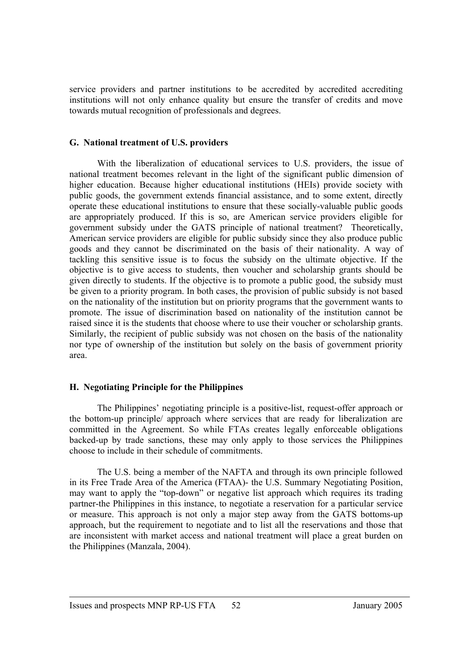service providers and partner institutions to be accredited by accredited accrediting institutions will not only enhance quality but ensure the transfer of credits and move towards mutual recognition of professionals and degrees.

## **G. National treatment of U.S. providers**

With the liberalization of educational services to U.S. providers, the issue of national treatment becomes relevant in the light of the significant public dimension of higher education. Because higher educational institutions (HEIs) provide society with public goods, the government extends financial assistance, and to some extent, directly operate these educational institutions to ensure that these socially-valuable public goods are appropriately produced. If this is so, are American service providers eligible for government subsidy under the GATS principle of national treatment? Theoretically, American service providers are eligible for public subsidy since they also produce public goods and they cannot be discriminated on the basis of their nationality. A way of tackling this sensitive issue is to focus the subsidy on the ultimate objective. If the objective is to give access to students, then voucher and scholarship grants should be given directly to students. If the objective is to promote a public good, the subsidy must be given to a priority program. In both cases, the provision of public subsidy is not based on the nationality of the institution but on priority programs that the government wants to promote. The issue of discrimination based on nationality of the institution cannot be raised since it is the students that choose where to use their voucher or scholarship grants. Similarly, the recipient of public subsidy was not chosen on the basis of the nationality nor type of ownership of the institution but solely on the basis of government priority area.

## **H. Negotiating Principle for the Philippines**

The Philippines' negotiating principle is a positive-list, request-offer approach or the bottom-up principle/ approach where services that are ready for liberalization are committed in the Agreement. So while FTAs creates legally enforceable obligations backed-up by trade sanctions, these may only apply to those services the Philippines choose to include in their schedule of commitments.

The U.S. being a member of the NAFTA and through its own principle followed in its Free Trade Area of the America (FTAA)- the U.S. Summary Negotiating Position, may want to apply the "top-down" or negative list approach which requires its trading partner-the Philippines in this instance, to negotiate a reservation for a particular service or measure. This approach is not only a major step away from the GATS bottoms-up approach, but the requirement to negotiate and to list all the reservations and those that are inconsistent with market access and national treatment will place a great burden on the Philippines (Manzala, 2004).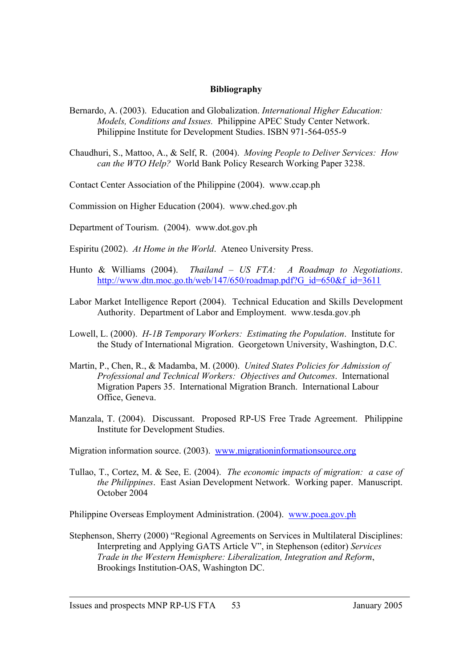#### **Bibliography**

- Bernardo, A. (2003). Education and Globalization. *International Higher Education: Models, Conditions and Issues.* Philippine APEC Study Center Network. Philippine Institute for Development Studies. ISBN 971-564-055-9
- Chaudhuri, S., Mattoo, A., & Self, R. (2004). *Moving People to Deliver Services: How can the WTO Help?* World Bank Policy Research Working Paper 3238.
- Contact Center Association of the Philippine (2004). www.ccap.ph
- Commission on Higher Education (2004). www.ched.gov.ph
- Department of Tourism. (2004). www.dot.gov.ph
- Espiritu (2002). *At Home in the World*. Ateneo University Press.
- Hunto & Williams (2004). *Thailand US FTA: A Roadmap to Negotiations*. http://www.dtn.moc.go.th/web/147/650/roadmap.pdf?G\_id=650&f\_id=3611
- Labor Market Intelligence Report (2004). Technical Education and Skills Development Authority. Department of Labor and Employment. www.tesda.gov.ph
- Lowell, L. (2000). *H-1B Temporary Workers: Estimating the Population*. Institute for the Study of International Migration. Georgetown University, Washington, D.C.
- Martin, P., Chen, R., & Madamba, M. (2000). *United States Policies for Admission of Professional and Technical Workers: Objectives and Outcomes*. International Migration Papers 35. International Migration Branch. International Labour Office, Geneva.
- Manzala, T. (2004). Discussant. Proposed RP-US Free Trade Agreement. Philippine Institute for Development Studies.
- Migration information source. (2003). www.migrationinformationsource.org
- Tullao, T., Cortez, M. & See, E. (2004). *The economic impacts of migration: a case of the Philippines*. East Asian Development Network. Working paper. Manuscript. October 2004

Philippine Overseas Employment Administration. (2004). www.poea.gov.ph

Stephenson, Sherry (2000) "Regional Agreements on Services in Multilateral Disciplines: Interpreting and Applying GATS Article V", in Stephenson (editor) *Services Trade in the Western Hemisphere: Liberalization, Integration and Reform*, Brookings Institution-OAS, Washington DC.